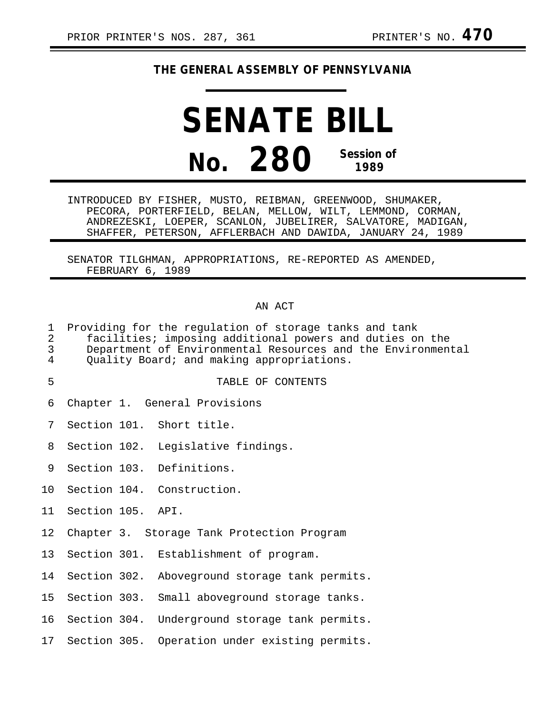# **THE GENERAL ASSEMBLY OF PENNSYLVANIA**

# **SENATE BILL No. 280 Session of 1989**

INTRODUCED BY FISHER, MUSTO, REIBMAN, GREENWOOD, SHUMAKER, PECORA, PORTERFIELD, BELAN, MELLOW, WILT, LEMMOND, CORMAN, ANDREZESKI, LOEPER, SCANLON, JUBELIRER, SALVATORE, MADIGAN, SHAFFER, PETERSON, AFFLERBACH AND DAWIDA, JANUARY 24, 1989

SENATOR TILGHMAN, APPROPRIATIONS, RE-REPORTED AS AMENDED, FEBRUARY 6, 1989

### AN ACT

| 1<br>$\overline{2}$<br>3<br>4 | Providing for the regulation of storage tanks and tank<br>facilities; imposing additional powers and duties on the<br>Department of Environmental Resources and the Environmental<br>Quality Board; and making appropriations. |  |                                                |  |  |
|-------------------------------|--------------------------------------------------------------------------------------------------------------------------------------------------------------------------------------------------------------------------------|--|------------------------------------------------|--|--|
| 5                             |                                                                                                                                                                                                                                |  | TABLE OF CONTENTS                              |  |  |
| 6                             |                                                                                                                                                                                                                                |  | Chapter 1. General Provisions                  |  |  |
| 7                             |                                                                                                                                                                                                                                |  | Section 101. Short title.                      |  |  |
| 8                             |                                                                                                                                                                                                                                |  | Section 102. Legislative findings.             |  |  |
| 9                             |                                                                                                                                                                                                                                |  | Section 103. Definitions.                      |  |  |
| 10 <sub>1</sub>               |                                                                                                                                                                                                                                |  | Section 104. Construction.                     |  |  |
| 11 <sub>1</sub>               | Section 105. API.                                                                                                                                                                                                              |  |                                                |  |  |
| 12                            |                                                                                                                                                                                                                                |  | Chapter 3. Storage Tank Protection Program     |  |  |
| 13                            |                                                                                                                                                                                                                                |  | Section 301. Establishment of program.         |  |  |
| 14                            |                                                                                                                                                                                                                                |  | Section 302. Aboveground storage tank permits. |  |  |
| 15                            | Section 303.                                                                                                                                                                                                                   |  | Small aboveground storage tanks.               |  |  |
| 16                            |                                                                                                                                                                                                                                |  | Section 304. Underground storage tank permits. |  |  |
| 17                            |                                                                                                                                                                                                                                |  | Section 305. Operation under existing permits. |  |  |
|                               |                                                                                                                                                                                                                                |  |                                                |  |  |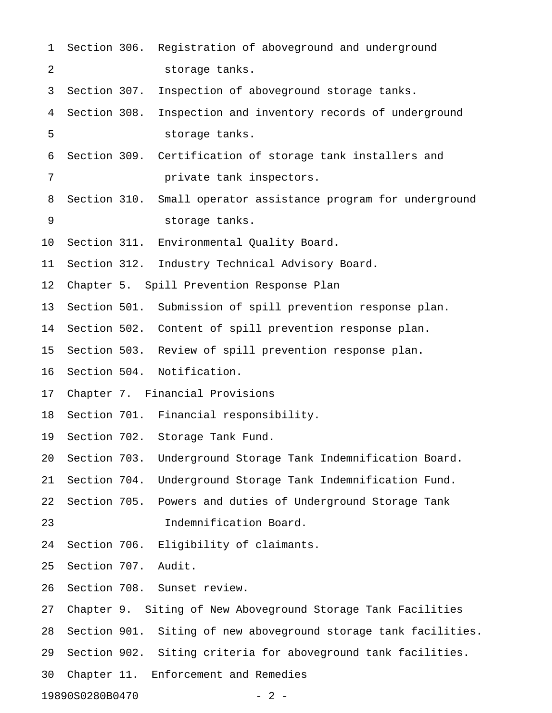| $\mathbf 1$              |              |  | Section 306. Registration of aboveground and underground        |  |  |
|--------------------------|--------------|--|-----------------------------------------------------------------|--|--|
| 2                        |              |  | storage tanks.                                                  |  |  |
| 3                        | Section 307. |  | Inspection of aboveground storage tanks.                        |  |  |
| 4                        | Section 308. |  | Inspection and inventory records of underground                 |  |  |
| 5                        |              |  | storage tanks.                                                  |  |  |
| 6                        |              |  | Section 309. Certification of storage tank installers and       |  |  |
| 7                        |              |  | private tank inspectors.                                        |  |  |
| 8                        | Section 310. |  | Small operator assistance program for underground               |  |  |
| 9                        |              |  | storage tanks.                                                  |  |  |
| 10                       |              |  | Section 311. Environmental Quality Board.                       |  |  |
| 11                       | Section 312. |  | Industry Technical Advisory Board.                              |  |  |
| 12                       |              |  | Chapter 5. Spill Prevention Response Plan                       |  |  |
| 13                       |              |  | Section 501. Submission of spill prevention response plan.      |  |  |
| 14                       |              |  | Section 502. Content of spill prevention response plan.         |  |  |
| 15                       |              |  | Section 503. Review of spill prevention response plan.          |  |  |
| 16                       |              |  | Section 504. Notification.                                      |  |  |
| 17                       |              |  | Chapter 7. Financial Provisions                                 |  |  |
| 18                       |              |  | Section 701. Financial responsibility.                          |  |  |
| 19                       |              |  | Section 702. Storage Tank Fund.                                 |  |  |
| 20                       | Section 703. |  | Underground Storage Tank Indemnification Board.                 |  |  |
| 21                       | Section 704. |  | Underground Storage Tank Indemnification Fund.                  |  |  |
| 22                       | Section 705. |  | Powers and duties of Underground Storage Tank                   |  |  |
| 23                       |              |  | Indemnification Board.                                          |  |  |
| 24                       | Section 706. |  | Eligibility of claimants.                                       |  |  |
| 25                       | Section 707. |  | Audit.                                                          |  |  |
| 26                       |              |  | Section 708. Sunset review.                                     |  |  |
| 27                       |              |  | Chapter 9. Siting of New Aboveground Storage Tank Facilities    |  |  |
| 28                       |              |  | Section 901. Siting of new aboveground storage tank facilities. |  |  |
| 29                       |              |  | Section 902. Siting criteria for aboveground tank facilities.   |  |  |
| 30                       |              |  | Chapter 11. Enforcement and Remedies                            |  |  |
| 19890S0280B0470<br>$-2-$ |              |  |                                                                 |  |  |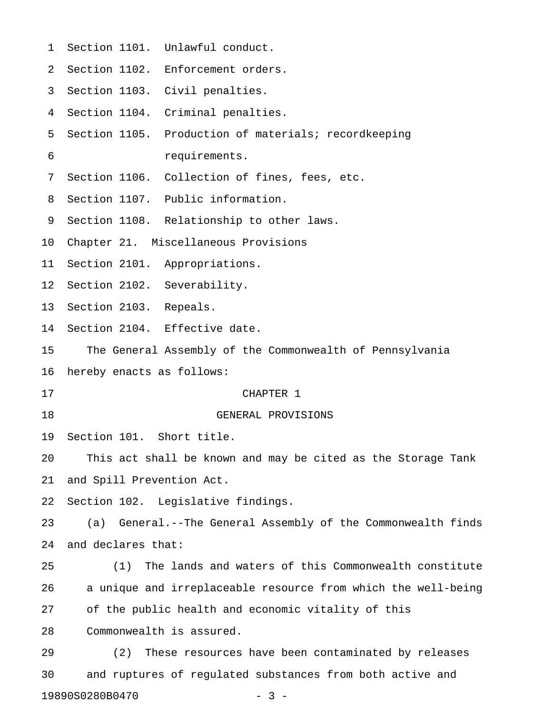| 1  |                                                              | Section 1101. Unlawful conduct.                               |  |  |  |
|----|--------------------------------------------------------------|---------------------------------------------------------------|--|--|--|
| 2  |                                                              | Section 1102. Enforcement orders.                             |  |  |  |
| 3  |                                                              | Section 1103. Civil penalties.                                |  |  |  |
| 4  |                                                              | Section 1104. Criminal penalties.                             |  |  |  |
| 5  |                                                              | Section 1105. Production of materials; recordkeeping          |  |  |  |
| 6  |                                                              | requirements.                                                 |  |  |  |
| 7  |                                                              | Section 1106. Collection of fines, fees, etc.                 |  |  |  |
| 8  |                                                              | Section 1107. Public information.                             |  |  |  |
| 9  |                                                              | Section 1108. Relationship to other laws.                     |  |  |  |
| 10 |                                                              | Chapter 21. Miscellaneous Provisions                          |  |  |  |
| 11 |                                                              | Section 2101. Appropriations.                                 |  |  |  |
| 12 | Section 2102. Severability.                                  |                                                               |  |  |  |
| 13 | Section 2103. Repeals.                                       |                                                               |  |  |  |
| 14 |                                                              | Section 2104. Effective date.                                 |  |  |  |
| 15 |                                                              | The General Assembly of the Commonwealth of Pennsylvania      |  |  |  |
| 16 | hereby enacts as follows:                                    |                                                               |  |  |  |
| 17 |                                                              | CHAPTER 1                                                     |  |  |  |
| 18 |                                                              | GENERAL PROVISIONS                                            |  |  |  |
| 19 | Section 101. Short title.                                    |                                                               |  |  |  |
| 20 | This act shall be known and may be cited as the Storage Tank |                                                               |  |  |  |
| 21 | and Spill Prevention Act.                                    |                                                               |  |  |  |
| 22 |                                                              | Section 102. Legislative findings.                            |  |  |  |
| 23 | (a)                                                          | General.--The General Assembly of the Commonwealth finds      |  |  |  |
| 24 | and declares that:                                           |                                                               |  |  |  |
| 25 | (1)                                                          | The lands and waters of this Commonwealth constitute          |  |  |  |
| 26 |                                                              | a unique and irreplaceable resource from which the well-being |  |  |  |
| 27 |                                                              | of the public health and economic vitality of this            |  |  |  |
| 28 |                                                              | Commonwealth is assured.                                      |  |  |  |
| 29 | (2)                                                          | These resources have been contaminated by releases            |  |  |  |
| 30 |                                                              | and ruptures of regulated substances from both active and     |  |  |  |
|    |                                                              |                                                               |  |  |  |

19890S0280B0470 - 3 -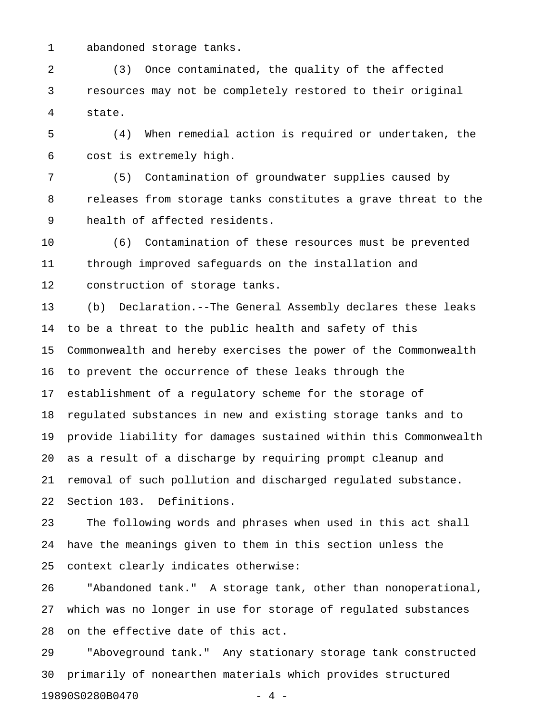1 abandoned storage tanks.

2 (3) Once contaminated, the quality of the affected 3 resources may not be completely restored to their original 4 state.

5 (4) When remedial action is required or undertaken, the 6 cost is extremely high.

7 (5) Contamination of groundwater supplies caused by 8 releases from storage tanks constitutes a grave threat to the 9 health of affected residents.

10 (6) Contamination of these resources must be prevented 11 through improved safeguards on the installation and 12 construction of storage tanks.

13 (b) Declaration.--The General Assembly declares these leaks 14 to be a threat to the public health and safety of this 15 Commonwealth and hereby exercises the power of the Commonwealth 16 to prevent the occurrence of these leaks through the 17 establishment of a regulatory scheme for the storage of 18 regulated substances in new and existing storage tanks and to 19 provide liability for damages sustained within this Commonwealth 20 as a result of a discharge by requiring prompt cleanup and 21 removal of such pollution and discharged regulated substance. 22 Section 103. Definitions.

23 The following words and phrases when used in this act shall 24 have the meanings given to them in this section unless the 25 context clearly indicates otherwise:

26 "Abandoned tank." A storage tank, other than nonoperational, 27 which was no longer in use for storage of regulated substances 28 on the effective date of this act.

29 "Aboveground tank." Any stationary storage tank constructed 30 primarily of nonearthen materials which provides structured 19890S0280B0470 - 4 -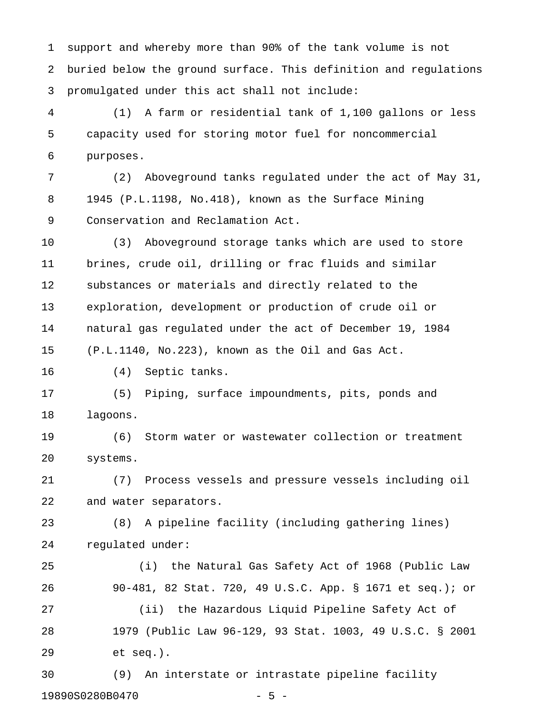1 support and whereby more than 90% of the tank volume is not 2 buried below the ground surface. This definition and regulations 3 promulgated under this act shall not include:

4 (1) A farm or residential tank of 1,100 gallons or less 5 capacity used for storing motor fuel for noncommercial 6 purposes.

7 (2) Aboveground tanks regulated under the act of May 31, 8 1945 (P.L.1198, No.418), known as the Surface Mining 9 Conservation and Reclamation Act.

10 (3) Aboveground storage tanks which are used to store 11 brines, crude oil, drilling or frac fluids and similar 12 substances or materials and directly related to the 13 exploration, development or production of crude oil or 14 natural gas regulated under the act of December 19, 1984 15 (P.L.1140, No.223), known as the Oil and Gas Act.

16 (4) Septic tanks.

17 (5) Piping, surface impoundments, pits, ponds and 18 lagoons.

19 (6) Storm water or wastewater collection or treatment 20 systems.

21 (7) Process vessels and pressure vessels including oil 22 and water separators.

23 (8) A pipeline facility (including gathering lines) 24 regulated under:

25 (i) the Natural Gas Safety Act of 1968 (Public Law 26 90-481, 82 Stat. 720, 49 U.S.C. App. § 1671 et seq.); or 27 (ii) the Hazardous Liquid Pipeline Safety Act of 28 1979 (Public Law 96-129, 93 Stat. 1003, 49 U.S.C. § 2001 29 et seq.).

30 (9) An interstate or intrastate pipeline facility 19890S0280B0470 - 5 -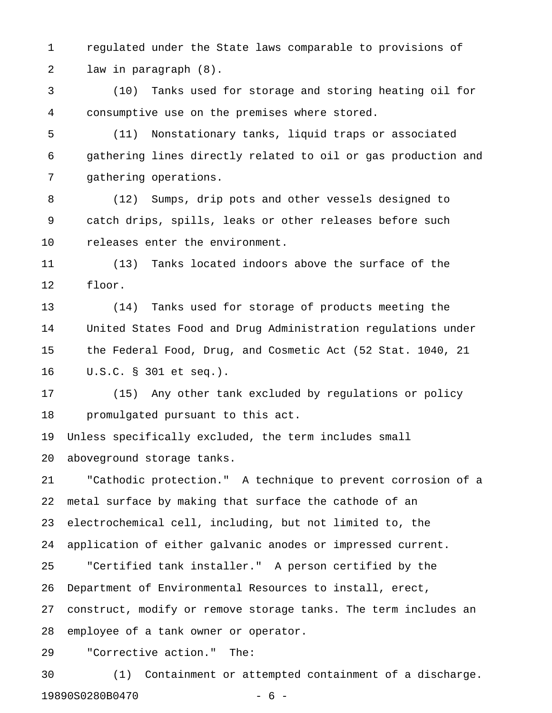1 regulated under the State laws comparable to provisions of 2 law in paragraph (8).

3 (10) Tanks used for storage and storing heating oil for 4 consumptive use on the premises where stored.

5 (11) Nonstationary tanks, liquid traps or associated 6 gathering lines directly related to oil or gas production and 7 gathering operations.

8 (12) Sumps, drip pots and other vessels designed to 9 catch drips, spills, leaks or other releases before such 10 releases enter the environment.

11 (13) Tanks located indoors above the surface of the 12 floor.

13 (14) Tanks used for storage of products meeting the 14 United States Food and Drug Administration regulations under 15 the Federal Food, Drug, and Cosmetic Act (52 Stat. 1040, 21 16 U.S.C. § 301 et seq.).

17 (15) Any other tank excluded by regulations or policy 18 promulgated pursuant to this act.

19 Unless specifically excluded, the term includes small 20 aboveground storage tanks.

21 "Cathodic protection." A technique to prevent corrosion of a 22 metal surface by making that surface the cathode of an 23 electrochemical cell, including, but not limited to, the 24 application of either galvanic anodes or impressed current. 25 "Certified tank installer." A person certified by the 26 Department of Environmental Resources to install, erect, 27 construct, modify or remove storage tanks. The term includes an 28 employee of a tank owner or operator.

29 "Corrective action." The:

30 (1) Containment or attempted containment of a discharge. 19890S0280B0470 - 6 -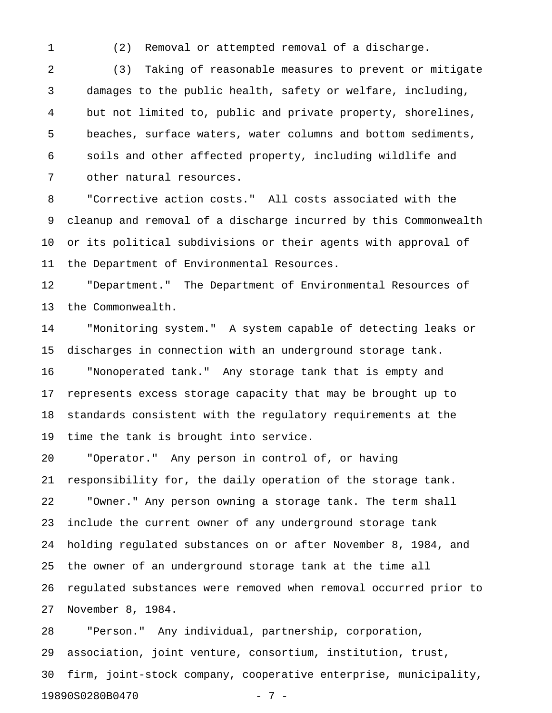1 (2) Removal or attempted removal of a discharge.

2 (3) Taking of reasonable measures to prevent or mitigate 3 damages to the public health, safety or welfare, including, 4 but not limited to, public and private property, shorelines, 5 beaches, surface waters, water columns and bottom sediments, 6 soils and other affected property, including wildlife and 7 other natural resources.

8 "Corrective action costs." All costs associated with the 9 cleanup and removal of a discharge incurred by this Commonwealth 10 or its political subdivisions or their agents with approval of 11 the Department of Environmental Resources.

12 "Department." The Department of Environmental Resources of 13 the Commonwealth.

14 "Monitoring system." A system capable of detecting leaks or 15 discharges in connection with an underground storage tank. 16 "Nonoperated tank." Any storage tank that is empty and 17 represents excess storage capacity that may be brought up to 18 standards consistent with the regulatory requirements at the 19 time the tank is brought into service.

20 "Operator." Any person in control of, or having 21 responsibility for, the daily operation of the storage tank. 22 "Owner." Any person owning a storage tank. The term shall 23 include the current owner of any underground storage tank 24 holding regulated substances on or after November 8, 1984, and 25 the owner of an underground storage tank at the time all 26 regulated substances were removed when removal occurred prior to 27 November 8, 1984.

28 "Person." Any individual, partnership, corporation, 29 association, joint venture, consortium, institution, trust, 30 firm, joint-stock company, cooperative enterprise, municipality, 19890S0280B0470 - 7 -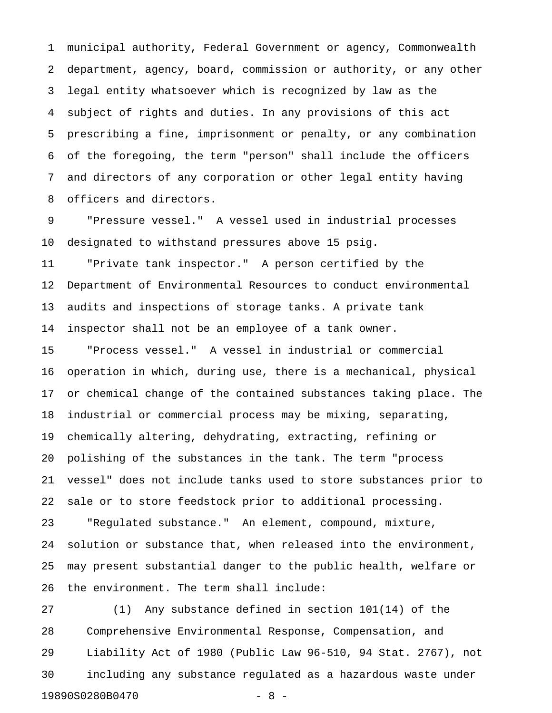1 municipal authority, Federal Government or agency, Commonwealth 2 department, agency, board, commission or authority, or any other 3 legal entity whatsoever which is recognized by law as the 4 subject of rights and duties. In any provisions of this act 5 prescribing a fine, imprisonment or penalty, or any combination 6 of the foregoing, the term "person" shall include the officers 7 and directors of any corporation or other legal entity having 8 officers and directors.

9 "Pressure vessel." A vessel used in industrial processes 10 designated to withstand pressures above 15 psig.

11 "Private tank inspector." A person certified by the 12 Department of Environmental Resources to conduct environmental 13 audits and inspections of storage tanks. A private tank 14 inspector shall not be an employee of a tank owner.

15 "Process vessel." A vessel in industrial or commercial 16 operation in which, during use, there is a mechanical, physical 17 or chemical change of the contained substances taking place. The 18 industrial or commercial process may be mixing, separating, 19 chemically altering, dehydrating, extracting, refining or 20 polishing of the substances in the tank. The term "process 21 vessel" does not include tanks used to store substances prior to 22 sale or to store feedstock prior to additional processing. 23 "Regulated substance." An element, compound, mixture, 24 solution or substance that, when released into the environment, 25 may present substantial danger to the public health, welfare or 26 the environment. The term shall include:

27 (1) Any substance defined in section 101(14) of the 28 Comprehensive Environmental Response, Compensation, and 29 Liability Act of 1980 (Public Law 96-510, 94 Stat. 2767), not 30 including any substance regulated as a hazardous waste under 19890S0280B0470 - 8 -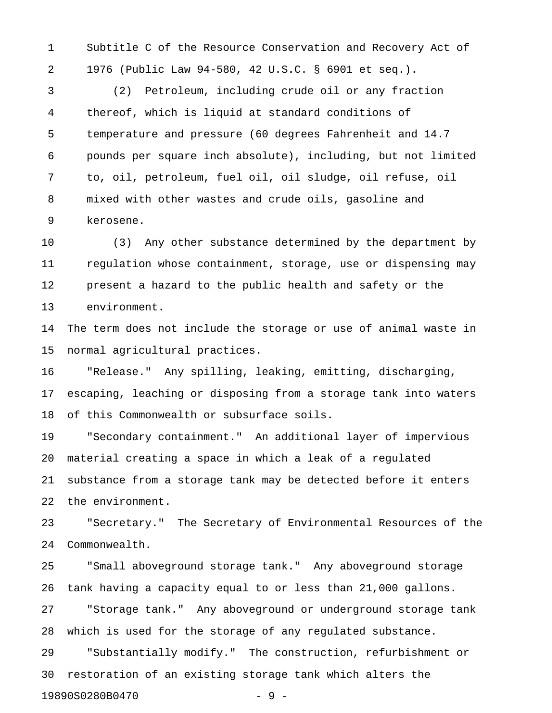1 Subtitle C of the Resource Conservation and Recovery Act of 2 1976 (Public Law 94-580, 42 U.S.C. § 6901 et seq.).

3 (2) Petroleum, including crude oil or any fraction 4 thereof, which is liquid at standard conditions of 5 temperature and pressure (60 degrees Fahrenheit and 14.7 6 pounds per square inch absolute), including, but not limited 7 to, oil, petroleum, fuel oil, oil sludge, oil refuse, oil 8 mixed with other wastes and crude oils, gasoline and 9 kerosene.

10 (3) Any other substance determined by the department by 11 regulation whose containment, storage, use or dispensing may 12 present a hazard to the public health and safety or the 13 environment.

14 The term does not include the storage or use of animal waste in 15 normal agricultural practices.

16 "Release." Any spilling, leaking, emitting, discharging, 17 escaping, leaching or disposing from a storage tank into waters 18 of this Commonwealth or subsurface soils.

19 "Secondary containment." An additional layer of impervious 20 material creating a space in which a leak of a regulated 21 substance from a storage tank may be detected before it enters 22 the environment.

23 "Secretary." The Secretary of Environmental Resources of the 24 Commonwealth.

25 "Small aboveground storage tank." Any aboveground storage 26 tank having a capacity equal to or less than 21,000 gallons. 27 "Storage tank." Any aboveground or underground storage tank 28 which is used for the storage of any regulated substance. 29 "Substantially modify." The construction, refurbishment or 30 restoration of an existing storage tank which alters the

19890S0280B0470 - 9 -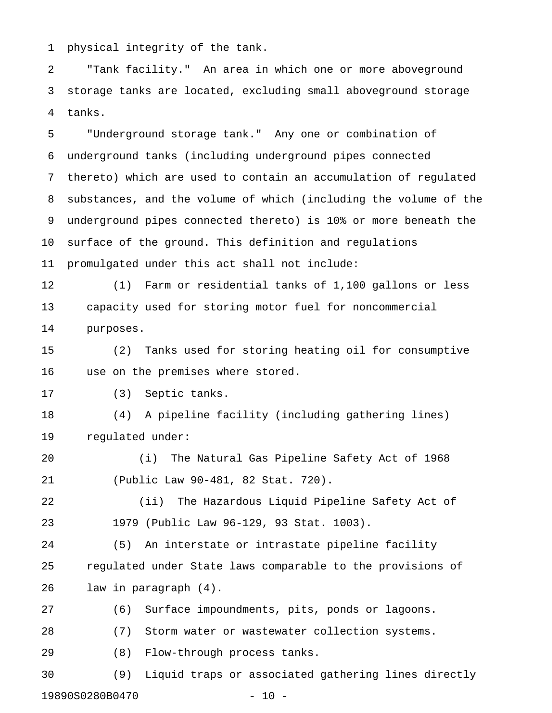1 physical integrity of the tank.

2 "Tank facility." An area in which one or more aboveground 3 storage tanks are located, excluding small aboveground storage 4 tanks.

5 "Underground storage tank." Any one or combination of 6 underground tanks (including underground pipes connected 7 thereto) which are used to contain an accumulation of regulated 8 substances, and the volume of which (including the volume of the 9 underground pipes connected thereto) is 10% or more beneath the 10 surface of the ground. This definition and regulations 11 promulgated under this act shall not include:

12 (1) Farm or residential tanks of 1,100 gallons or less 13 capacity used for storing motor fuel for noncommercial 14 purposes.

15 (2) Tanks used for storing heating oil for consumptive 16 use on the premises where stored.

17 (3) Septic tanks.

18 (4) A pipeline facility (including gathering lines) 19 regulated under:

20 (i) The Natural Gas Pipeline Safety Act of 1968 21 (Public Law 90-481, 82 Stat. 720).

22 (ii) The Hazardous Liquid Pipeline Safety Act of 23 1979 (Public Law 96-129, 93 Stat. 1003).

24 (5) An interstate or intrastate pipeline facility 25 regulated under State laws comparable to the provisions of 26 law in paragraph (4).

27 (6) Surface impoundments, pits, ponds or lagoons.

28 (7) Storm water or wastewater collection systems.

29 (8) Flow-through process tanks.

30 (9) Liquid traps or associated gathering lines directly 19890S0280B0470 - 10 -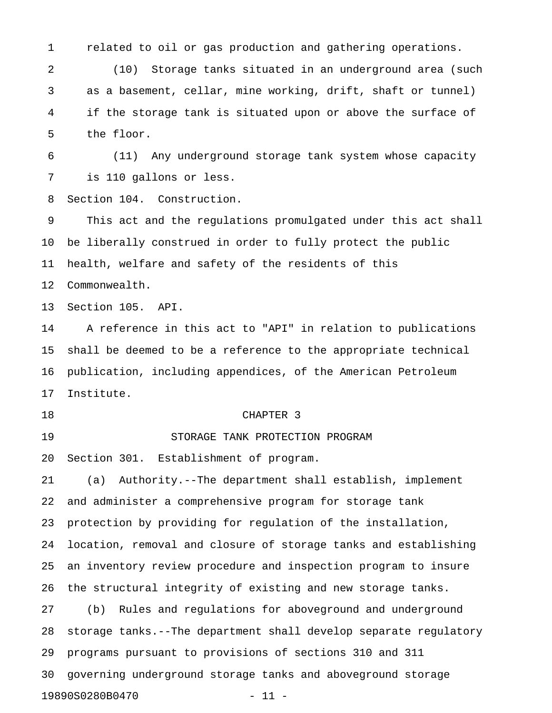1 related to oil or gas production and gathering operations.

2 (10) Storage tanks situated in an underground area (such 3 as a basement, cellar, mine working, drift, shaft or tunnel) 4 if the storage tank is situated upon or above the surface of 5 the floor.

6 (11) Any underground storage tank system whose capacity 7 is 110 gallons or less.

8 Section 104. Construction.

9 This act and the regulations promulgated under this act shall 10 be liberally construed in order to fully protect the public 11 health, welfare and safety of the residents of this 12 Commonwealth.

13 Section 105. API.

14 A reference in this act to "API" in relation to publications 15 shall be deemed to be a reference to the appropriate technical 16 publication, including appendices, of the American Petroleum 17 Institute.

#### 18 CHAPTER 3

19 STORAGE TANK PROTECTION PROGRAM

20 Section 301. Establishment of program.

21 (a) Authority.--The department shall establish, implement 22 and administer a comprehensive program for storage tank 23 protection by providing for regulation of the installation, 24 location, removal and closure of storage tanks and establishing 25 an inventory review procedure and inspection program to insure 26 the structural integrity of existing and new storage tanks. 27 (b) Rules and regulations for aboveground and underground 28 storage tanks.--The department shall develop separate regulatory 29 programs pursuant to provisions of sections 310 and 311 30 governing underground storage tanks and aboveground storage 19890S0280B0470 - 11 -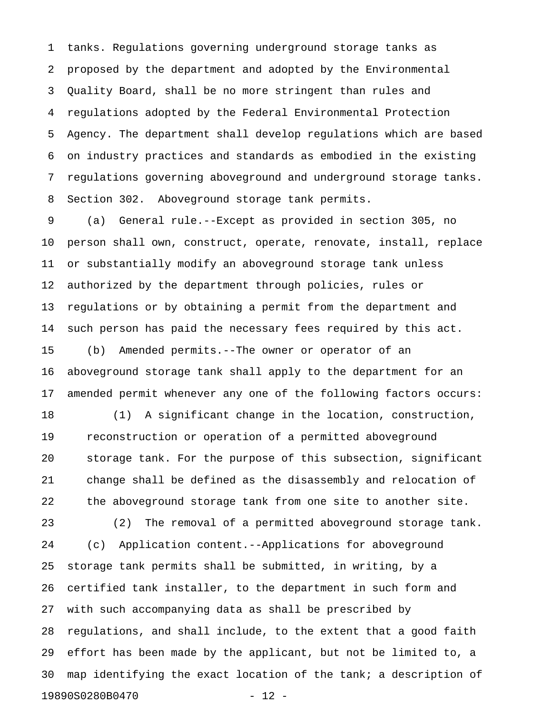1 tanks. Regulations governing underground storage tanks as 2 proposed by the department and adopted by the Environmental 3 Quality Board, shall be no more stringent than rules and 4 regulations adopted by the Federal Environmental Protection 5 Agency. The department shall develop regulations which are based 6 on industry practices and standards as embodied in the existing 7 regulations governing aboveground and underground storage tanks. 8 Section 302. Aboveground storage tank permits.

9 (a) General rule.--Except as provided in section 305, no 10 person shall own, construct, operate, renovate, install, replace 11 or substantially modify an aboveground storage tank unless 12 authorized by the department through policies, rules or 13 regulations or by obtaining a permit from the department and 14 such person has paid the necessary fees required by this act. 15 (b) Amended permits.--The owner or operator of an 16 aboveground storage tank shall apply to the department for an 17 amended permit whenever any one of the following factors occurs:

18 (1) A significant change in the location, construction, 19 reconstruction or operation of a permitted aboveground 20 storage tank. For the purpose of this subsection, significant 21 change shall be defined as the disassembly and relocation of 22 the aboveground storage tank from one site to another site.

23 (2) The removal of a permitted aboveground storage tank. 24 (c) Application content.--Applications for aboveground 25 storage tank permits shall be submitted, in writing, by a 26 certified tank installer, to the department in such form and 27 with such accompanying data as shall be prescribed by 28 regulations, and shall include, to the extent that a good faith 29 effort has been made by the applicant, but not be limited to, a 30 map identifying the exact location of the tank; a description of 19890S0280B0470 - 12 -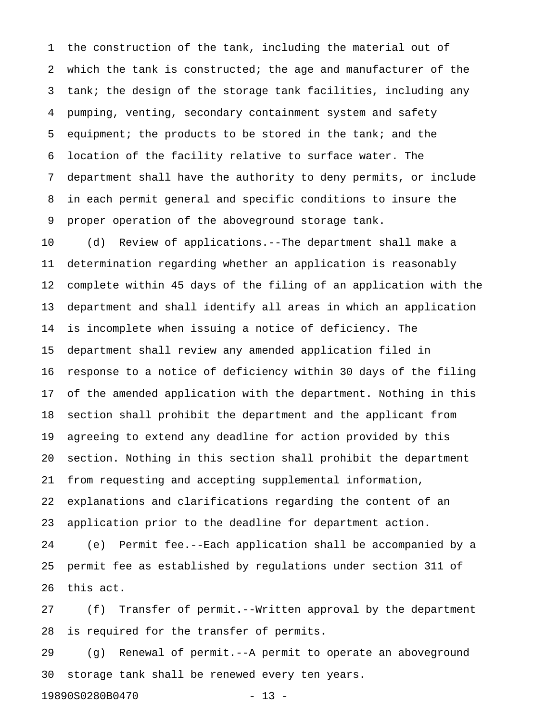1 the construction of the tank, including the material out of 2 which the tank is constructed; the age and manufacturer of the 3 tank; the design of the storage tank facilities, including any 4 pumping, venting, secondary containment system and safety 5 equipment; the products to be stored in the tank; and the 6 location of the facility relative to surface water. The 7 department shall have the authority to deny permits, or include 8 in each permit general and specific conditions to insure the 9 proper operation of the aboveground storage tank.

10 (d) Review of applications.--The department shall make a 11 determination regarding whether an application is reasonably 12 complete within 45 days of the filing of an application with the 13 department and shall identify all areas in which an application 14 is incomplete when issuing a notice of deficiency. The 15 department shall review any amended application filed in 16 response to a notice of deficiency within 30 days of the filing 17 of the amended application with the department. Nothing in this 18 section shall prohibit the department and the applicant from 19 agreeing to extend any deadline for action provided by this 20 section. Nothing in this section shall prohibit the department 21 from requesting and accepting supplemental information, 22 explanations and clarifications regarding the content of an 23 application prior to the deadline for department action.

24 (e) Permit fee.--Each application shall be accompanied by a 25 permit fee as established by regulations under section 311 of 26 this act.

27 (f) Transfer of permit.--Written approval by the department 28 is required for the transfer of permits.

29 (g) Renewal of permit.--A permit to operate an aboveground 30 storage tank shall be renewed every ten years.

19890S0280B0470 - 13 -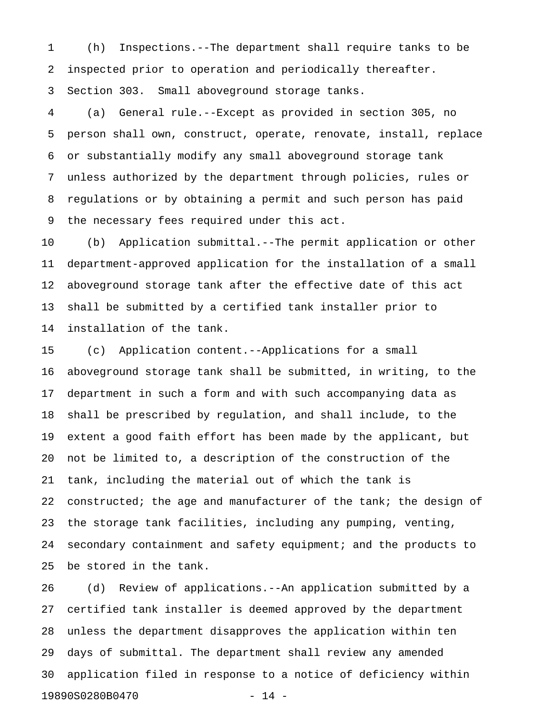1 (h) Inspections.--The department shall require tanks to be 2 inspected prior to operation and periodically thereafter. 3 Section 303. Small aboveground storage tanks.

4 (a) General rule.--Except as provided in section 305, no 5 person shall own, construct, operate, renovate, install, replace 6 or substantially modify any small aboveground storage tank 7 unless authorized by the department through policies, rules or 8 regulations or by obtaining a permit and such person has paid 9 the necessary fees required under this act.

10 (b) Application submittal.--The permit application or other 11 department-approved application for the installation of a small 12 aboveground storage tank after the effective date of this act 13 shall be submitted by a certified tank installer prior to 14 installation of the tank.

15 (c) Application content.--Applications for a small 16 aboveground storage tank shall be submitted, in writing, to the 17 department in such a form and with such accompanying data as 18 shall be prescribed by regulation, and shall include, to the 19 extent a good faith effort has been made by the applicant, but 20 not be limited to, a description of the construction of the 21 tank, including the material out of which the tank is 22 constructed; the age and manufacturer of the tank; the design of 23 the storage tank facilities, including any pumping, venting, 24 secondary containment and safety equipment; and the products to 25 be stored in the tank.

26 (d) Review of applications.--An application submitted by a 27 certified tank installer is deemed approved by the department 28 unless the department disapproves the application within ten 29 days of submittal. The department shall review any amended 30 application filed in response to a notice of deficiency within 19890S0280B0470 - 14 -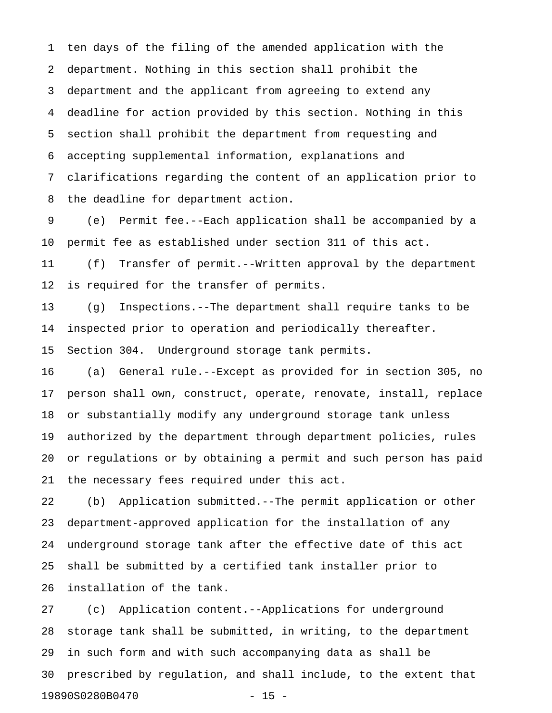1 ten days of the filing of the amended application with the 2 department. Nothing in this section shall prohibit the 3 department and the applicant from agreeing to extend any 4 deadline for action provided by this section. Nothing in this 5 section shall prohibit the department from requesting and 6 accepting supplemental information, explanations and 7 clarifications regarding the content of an application prior to 8 the deadline for department action.

9 (e) Permit fee.--Each application shall be accompanied by a 10 permit fee as established under section 311 of this act.

11 (f) Transfer of permit.--Written approval by the department 12 is required for the transfer of permits.

13 (g) Inspections.--The department shall require tanks to be 14 inspected prior to operation and periodically thereafter.

15 Section 304. Underground storage tank permits.

16 (a) General rule.--Except as provided for in section 305, no 17 person shall own, construct, operate, renovate, install, replace 18 or substantially modify any underground storage tank unless 19 authorized by the department through department policies, rules 20 or regulations or by obtaining a permit and such person has paid 21 the necessary fees required under this act.

22 (b) Application submitted.--The permit application or other 23 department-approved application for the installation of any 24 underground storage tank after the effective date of this act 25 shall be submitted by a certified tank installer prior to 26 installation of the tank.

27 (c) Application content.--Applications for underground 28 storage tank shall be submitted, in writing, to the department 29 in such form and with such accompanying data as shall be 30 prescribed by regulation, and shall include, to the extent that 19890S0280B0470 - 15 -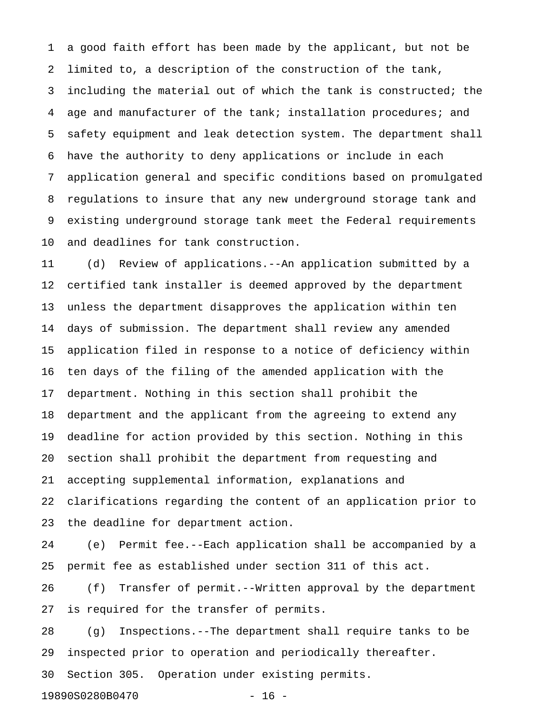1 a good faith effort has been made by the applicant, but not be 2 limited to, a description of the construction of the tank, 3 including the material out of which the tank is constructed; the 4 age and manufacturer of the tank; installation procedures; and 5 safety equipment and leak detection system. The department shall 6 have the authority to deny applications or include in each 7 application general and specific conditions based on promulgated 8 regulations to insure that any new underground storage tank and 9 existing underground storage tank meet the Federal requirements 10 and deadlines for tank construction.

11 (d) Review of applications.--An application submitted by a 12 certified tank installer is deemed approved by the department 13 unless the department disapproves the application within ten 14 days of submission. The department shall review any amended 15 application filed in response to a notice of deficiency within 16 ten days of the filing of the amended application with the 17 department. Nothing in this section shall prohibit the 18 department and the applicant from the agreeing to extend any 19 deadline for action provided by this section. Nothing in this 20 section shall prohibit the department from requesting and 21 accepting supplemental information, explanations and 22 clarifications regarding the content of an application prior to 23 the deadline for department action.

24 (e) Permit fee.--Each application shall be accompanied by a 25 permit fee as established under section 311 of this act.

26 (f) Transfer of permit.--Written approval by the department 27 is required for the transfer of permits.

28 (g) Inspections.--The department shall require tanks to be 29 inspected prior to operation and periodically thereafter.

30 Section 305. Operation under existing permits.

19890S0280B0470 - 16 -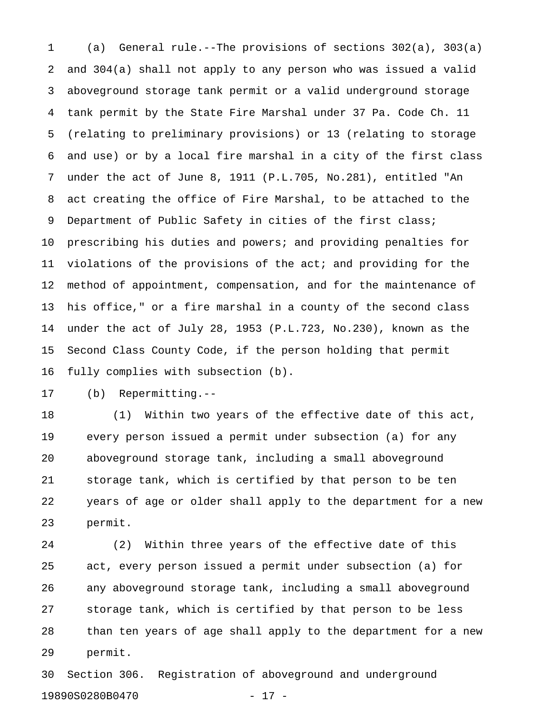1 (a) General rule.--The provisions of sections 302(a), 303(a) 2 and 304(a) shall not apply to any person who was issued a valid 3 aboveground storage tank permit or a valid underground storage 4 tank permit by the State Fire Marshal under 37 Pa. Code Ch. 11 5 (relating to preliminary provisions) or 13 (relating to storage 6 and use) or by a local fire marshal in a city of the first class 7 under the act of June 8, 1911 (P.L.705, No.281), entitled "An 8 act creating the office of Fire Marshal, to be attached to the 9 Department of Public Safety in cities of the first class; 10 prescribing his duties and powers; and providing penalties for 11 violations of the provisions of the act; and providing for the 12 method of appointment, compensation, and for the maintenance of 13 his office," or a fire marshal in a county of the second class 14 under the act of July 28, 1953 (P.L.723, No.230), known as the 15 Second Class County Code, if the person holding that permit 16 fully complies with subsection (b).

17 (b) Repermitting.--

18 (1) Within two years of the effective date of this act, 19 every person issued a permit under subsection (a) for any 20 aboveground storage tank, including a small aboveground 21 storage tank, which is certified by that person to be ten 22 years of age or older shall apply to the department for a new 23 permit.

24 (2) Within three years of the effective date of this 25 act, every person issued a permit under subsection (a) for 26 any aboveground storage tank, including a small aboveground 27 storage tank, which is certified by that person to be less 28 than ten years of age shall apply to the department for a new 29 permit.

30 Section 306. Registration of aboveground and underground 19890S0280B0470 - 17 -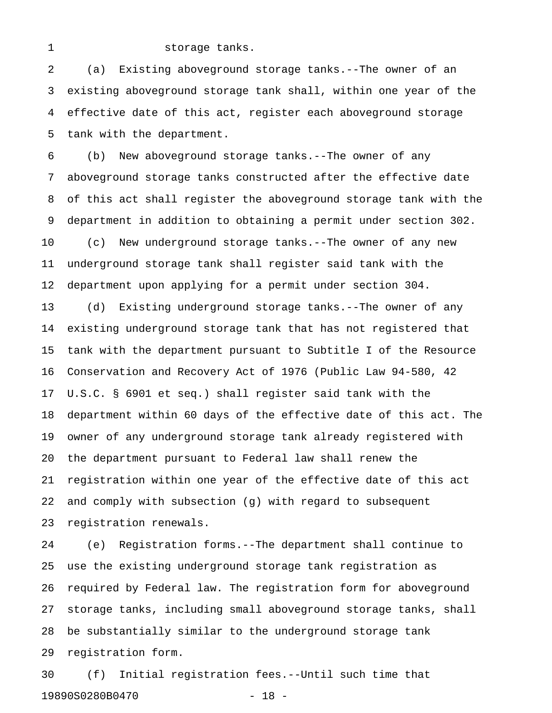#### 1 storage tanks.

2 (a) Existing aboveground storage tanks.--The owner of an 3 existing aboveground storage tank shall, within one year of the 4 effective date of this act, register each aboveground storage 5 tank with the department.

6 (b) New aboveground storage tanks.--The owner of any 7 aboveground storage tanks constructed after the effective date 8 of this act shall register the aboveground storage tank with the 9 department in addition to obtaining a permit under section 302. 10 (c) New underground storage tanks.--The owner of any new 11 underground storage tank shall register said tank with the 12 department upon applying for a permit under section 304.

13 (d) Existing underground storage tanks.--The owner of any 14 existing underground storage tank that has not registered that 15 tank with the department pursuant to Subtitle I of the Resource 16 Conservation and Recovery Act of 1976 (Public Law 94-580, 42 17 U.S.C. § 6901 et seq.) shall register said tank with the 18 department within 60 days of the effective date of this act. The 19 owner of any underground storage tank already registered with 20 the department pursuant to Federal law shall renew the 21 registration within one year of the effective date of this act 22 and comply with subsection (g) with regard to subsequent 23 registration renewals.

24 (e) Registration forms.--The department shall continue to 25 use the existing underground storage tank registration as 26 required by Federal law. The registration form for aboveground 27 storage tanks, including small aboveground storage tanks, shall 28 be substantially similar to the underground storage tank 29 registration form.

30 (f) Initial registration fees.--Until such time that 19890S0280B0470 - 18 -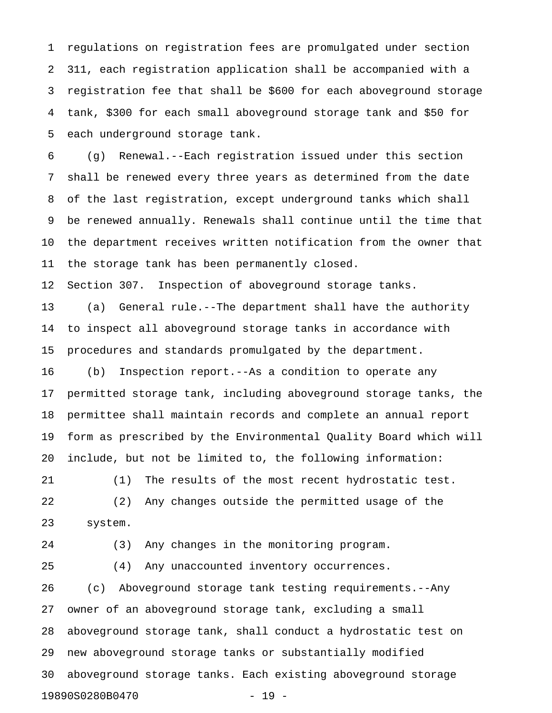1 regulations on registration fees are promulgated under section 2 311, each registration application shall be accompanied with a 3 registration fee that shall be \$600 for each aboveground storage 4 tank, \$300 for each small aboveground storage tank and \$50 for 5 each underground storage tank.

6 (g) Renewal.--Each registration issued under this section 7 shall be renewed every three years as determined from the date 8 of the last registration, except underground tanks which shall 9 be renewed annually. Renewals shall continue until the time that 10 the department receives written notification from the owner that 11 the storage tank has been permanently closed.

12 Section 307. Inspection of aboveground storage tanks.

13 (a) General rule.--The department shall have the authority 14 to inspect all aboveground storage tanks in accordance with 15 procedures and standards promulgated by the department.

16 (b) Inspection report.--As a condition to operate any 17 permitted storage tank, including aboveground storage tanks, the 18 permittee shall maintain records and complete an annual report 19 form as prescribed by the Environmental Quality Board which will 20 include, but not be limited to, the following information:

21 (1) The results of the most recent hydrostatic test. 22 (2) Any changes outside the permitted usage of the 23 system.

24 (3) Any changes in the monitoring program.

25 (4) Any unaccounted inventory occurrences.

26 (c) Aboveground storage tank testing requirements.--Any 27 owner of an aboveground storage tank, excluding a small 28 aboveground storage tank, shall conduct a hydrostatic test on 29 new aboveground storage tanks or substantially modified 30 aboveground storage tanks. Each existing aboveground storage 19890S0280B0470 - 19 -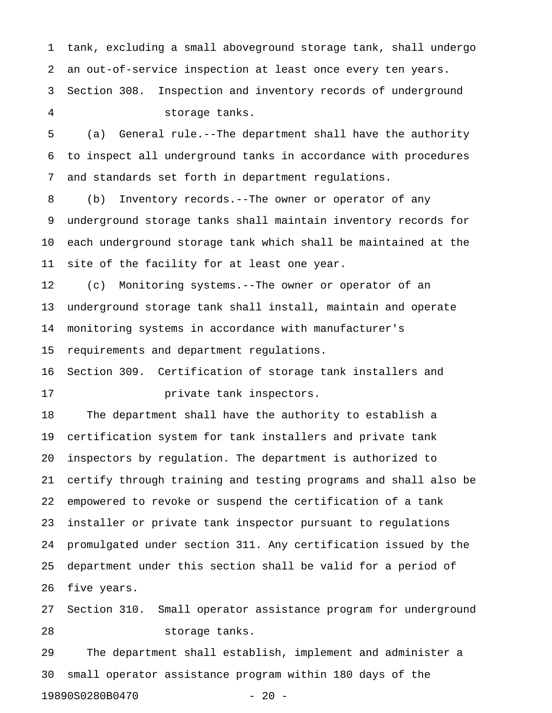1 tank, excluding a small aboveground storage tank, shall undergo 2 an out-of-service inspection at least once every ten years.

3 Section 308. Inspection and inventory records of underground 4 storage tanks.

5 (a) General rule.--The department shall have the authority 6 to inspect all underground tanks in accordance with procedures 7 and standards set forth in department regulations.

8 (b) Inventory records.--The owner or operator of any 9 underground storage tanks shall maintain inventory records for 10 each underground storage tank which shall be maintained at the 11 site of the facility for at least one year.

12 (c) Monitoring systems.--The owner or operator of an 13 underground storage tank shall install, maintain and operate 14 monitoring systems in accordance with manufacturer's 15 requirements and department regulations.

16 Section 309. Certification of storage tank installers and

17 **private tank inspectors.** 

18 The department shall have the authority to establish a 19 certification system for tank installers and private tank 20 inspectors by regulation. The department is authorized to 21 certify through training and testing programs and shall also be 22 empowered to revoke or suspend the certification of a tank 23 installer or private tank inspector pursuant to regulations 24 promulgated under section 311. Any certification issued by the 25 department under this section shall be valid for a period of 26 five years.

27 Section 310. Small operator assistance program for underground 28 storage tanks.

29 The department shall establish, implement and administer a 30 small operator assistance program within 180 days of the 19890S0280B0470 - 20 -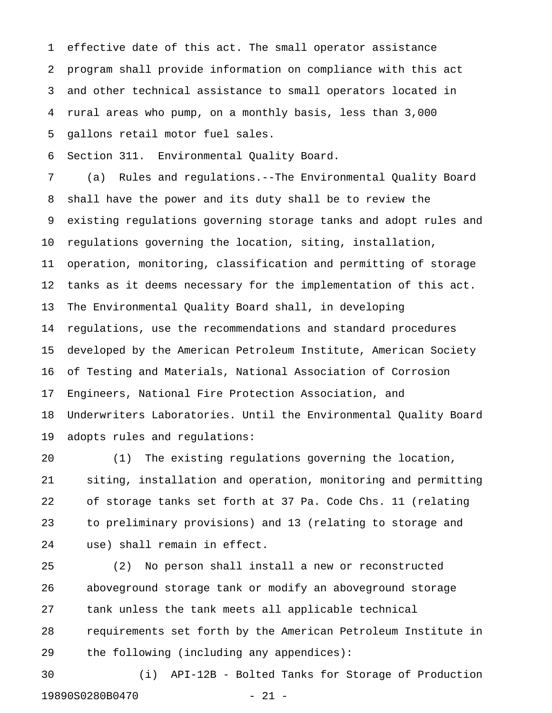1 effective date of this act. The small operator assistance 2 program shall provide information on compliance with this act 3 and other technical assistance to small operators located in 4 rural areas who pump, on a monthly basis, less than 3,000 5 gallons retail motor fuel sales.

6 Section 311. Environmental Quality Board.

7 (a) Rules and regulations.--The Environmental Quality Board 8 shall have the power and its duty shall be to review the 9 existing regulations governing storage tanks and adopt rules and 10 regulations governing the location, siting, installation, 11 operation, monitoring, classification and permitting of storage 12 tanks as it deems necessary for the implementation of this act. 13 The Environmental Quality Board shall, in developing 14 regulations, use the recommendations and standard procedures 15 developed by the American Petroleum Institute, American Society 16 of Testing and Materials, National Association of Corrosion 17 Engineers, National Fire Protection Association, and 18 Underwriters Laboratories. Until the Environmental Quality Board 19 adopts rules and regulations:

20 (1) The existing regulations governing the location, 21 siting, installation and operation, monitoring and permitting 22 of storage tanks set forth at 37 Pa. Code Chs. 11 (relating 23 to preliminary provisions) and 13 (relating to storage and 24 use) shall remain in effect.

25 (2) No person shall install a new or reconstructed 26 aboveground storage tank or modify an aboveground storage 27 tank unless the tank meets all applicable technical 28 requirements set forth by the American Petroleum Institute in 29 the following (including any appendices):

30 (i) API-12B - Bolted Tanks for Storage of Production 19890S0280B0470 - 21 -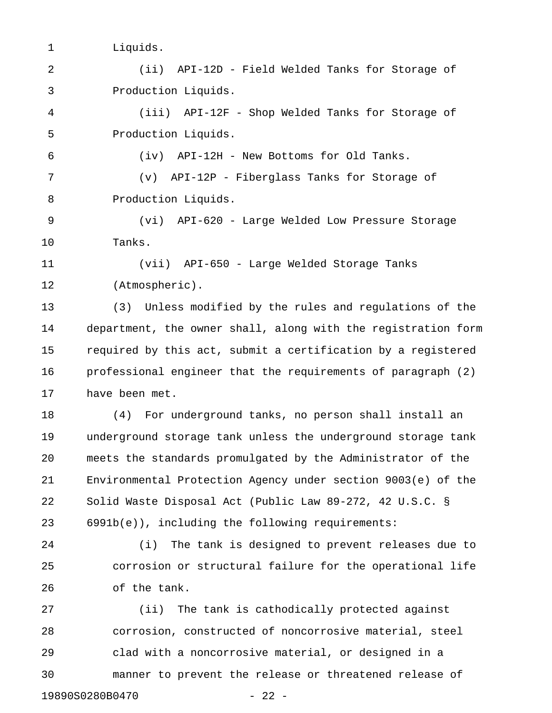- 1 Liquids.
- 2 (ii) API-12D Field Welded Tanks for Storage of 3 Production Liquids.

4 (iii) API-12F - Shop Welded Tanks for Storage of 5 Production Liquids.

6 (iv) API-12H - New Bottoms for Old Tanks.

7 (v) API-12P - Fiberglass Tanks for Storage of 8 Production Liquids.

9 (vi) API-620 - Large Welded Low Pressure Storage 10 Tanks.

11 (vii) API-650 - Large Welded Storage Tanks 12 (Atmospheric).

13 (3) Unless modified by the rules and regulations of the 14 department, the owner shall, along with the registration form 15 required by this act, submit a certification by a registered 16 professional engineer that the requirements of paragraph (2) 17 have been met.

18 (4) For underground tanks, no person shall install an 19 underground storage tank unless the underground storage tank 20 meets the standards promulgated by the Administrator of the 21 Environmental Protection Agency under section 9003(e) of the 22 Solid Waste Disposal Act (Public Law 89-272, 42 U.S.C. § 23 6991b(e)), including the following requirements:

24 (i) The tank is designed to prevent releases due to 25 corrosion or structural failure for the operational life 26 of the tank.

27 (ii) The tank is cathodically protected against 28 corrosion, constructed of noncorrosive material, steel 29 clad with a noncorrosive material, or designed in a 30 manner to prevent the release or threatened release of 19890S0280B0470 - 22 -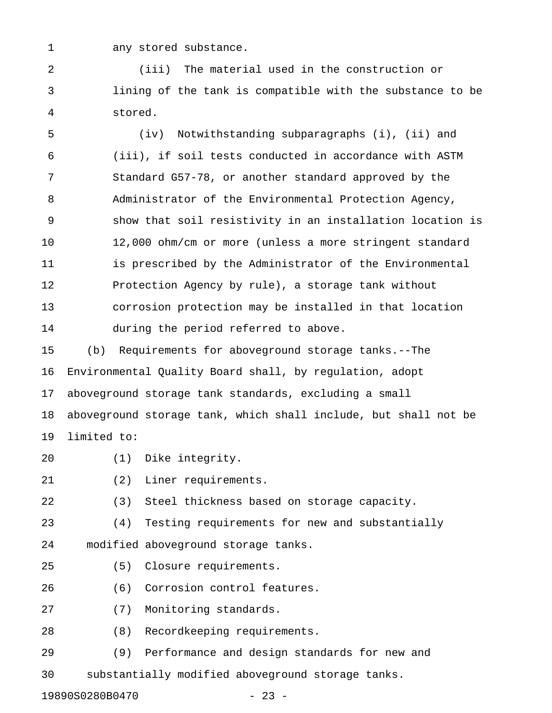1 any stored substance.

2 (iii) The material used in the construction or 3 lining of the tank is compatible with the substance to be 4 stored.

5 (iv) Notwithstanding subparagraphs (i), (ii) and 6 (iii), if soil tests conducted in accordance with ASTM 7 Standard G57-78, or another standard approved by the 8 Administrator of the Environmental Protection Agency, 9 show that soil resistivity in an installation location is 10 12,000 ohm/cm or more (unless a more stringent standard 11 is prescribed by the Administrator of the Environmental 12 Protection Agency by rule), a storage tank without 13 corrosion protection may be installed in that location 14 during the period referred to above.

15 (b) Requirements for aboveground storage tanks.--The 16 Environmental Quality Board shall, by regulation, adopt 17 aboveground storage tank standards, excluding a small 18 aboveground storage tank, which shall include, but shall not be 19 limited to:

- 20 (1) Dike integrity.
- 21 (2) Liner requirements.

22 (3) Steel thickness based on storage capacity.

23 (4) Testing requirements for new and substantially 24 modified aboveground storage tanks.

- 25 (5) Closure requirements.
- 26 (6) Corrosion control features.
- 27 (7) Monitoring standards.
- 28 (8) Recordkeeping requirements.
- 29 (9) Performance and design standards for new and

30 substantially modified aboveground storage tanks.

19890S0280B0470 - 23 -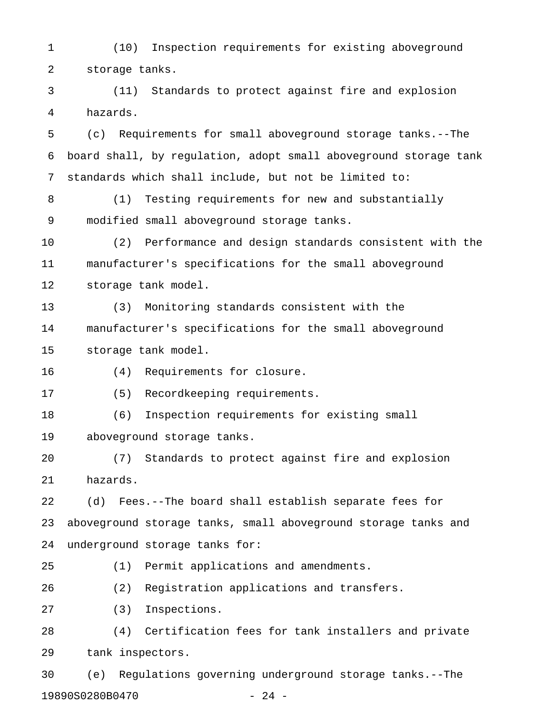1 (10) Inspection requirements for existing aboveground 2 storage tanks.

3 (11) Standards to protect against fire and explosion 4 hazards.

5 (c) Requirements for small aboveground storage tanks.--The 6 board shall, by regulation, adopt small aboveground storage tank 7 standards which shall include, but not be limited to:

8 (1) Testing requirements for new and substantially 9 modified small aboveground storage tanks.

10 (2) Performance and design standards consistent with the 11 manufacturer's specifications for the small aboveground 12 storage tank model.

13 (3) Monitoring standards consistent with the 14 manufacturer's specifications for the small aboveground 15 storage tank model.

16 (4) Requirements for closure.

17 (5) Recordkeeping requirements.

18 (6) Inspection requirements for existing small

19 aboveground storage tanks.

20 (7) Standards to protect against fire and explosion 21 hazards.

22 (d) Fees.--The board shall establish separate fees for 23 aboveground storage tanks, small aboveground storage tanks and 24 underground storage tanks for:

25 (1) Permit applications and amendments.

26 (2) Registration applications and transfers.

27 (3) Inspections.

28 (4) Certification fees for tank installers and private 29 tank inspectors.

30 (e) Regulations governing underground storage tanks.--The 19890S0280B0470 - 24 -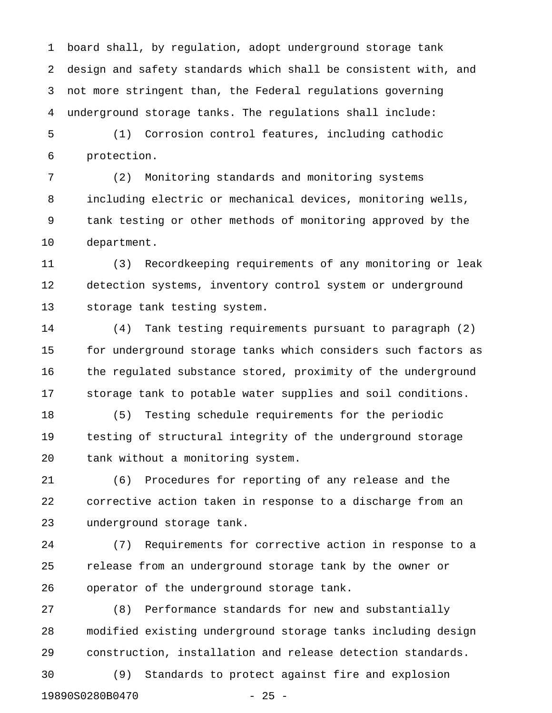1 board shall, by regulation, adopt underground storage tank 2 design and safety standards which shall be consistent with, and 3 not more stringent than, the Federal regulations governing 4 underground storage tanks. The regulations shall include:

5 (1) Corrosion control features, including cathodic 6 protection.

7 (2) Monitoring standards and monitoring systems 8 including electric or mechanical devices, monitoring wells, 9 tank testing or other methods of monitoring approved by the 10 department.

11 (3) Recordkeeping requirements of any monitoring or leak 12 detection systems, inventory control system or underground 13 storage tank testing system.

14 (4) Tank testing requirements pursuant to paragraph (2) 15 for underground storage tanks which considers such factors as 16 the regulated substance stored, proximity of the underground 17 storage tank to potable water supplies and soil conditions.

18 (5) Testing schedule requirements for the periodic 19 testing of structural integrity of the underground storage 20 tank without a monitoring system.

21 (6) Procedures for reporting of any release and the 22 corrective action taken in response to a discharge from an 23 underground storage tank.

24 (7) Requirements for corrective action in response to a 25 release from an underground storage tank by the owner or 26 operator of the underground storage tank.

27 (8) Performance standards for new and substantially 28 modified existing underground storage tanks including design 29 construction, installation and release detection standards. 30 (9) Standards to protect against fire and explosion 19890S0280B0470 - 25 -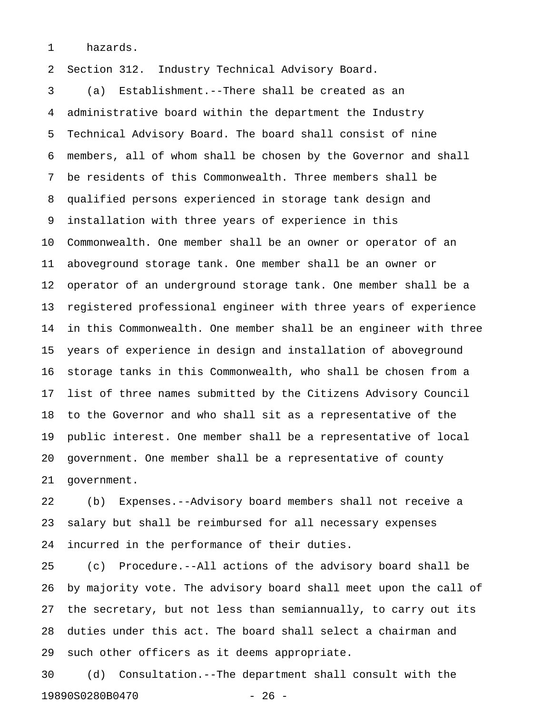1 hazards.

2 Section 312. Industry Technical Advisory Board.

3 (a) Establishment.--There shall be created as an 4 administrative board within the department the Industry 5 Technical Advisory Board. The board shall consist of nine 6 members, all of whom shall be chosen by the Governor and shall 7 be residents of this Commonwealth. Three members shall be 8 qualified persons experienced in storage tank design and 9 installation with three years of experience in this 10 Commonwealth. One member shall be an owner or operator of an 11 aboveground storage tank. One member shall be an owner or 12 operator of an underground storage tank. One member shall be a 13 registered professional engineer with three years of experience 14 in this Commonwealth. One member shall be an engineer with three 15 years of experience in design and installation of aboveground 16 storage tanks in this Commonwealth, who shall be chosen from a 17 list of three names submitted by the Citizens Advisory Council 18 to the Governor and who shall sit as a representative of the 19 public interest. One member shall be a representative of local 20 government. One member shall be a representative of county 21 government.

22 (b) Expenses.--Advisory board members shall not receive a 23 salary but shall be reimbursed for all necessary expenses 24 incurred in the performance of their duties.

25 (c) Procedure.--All actions of the advisory board shall be 26 by majority vote. The advisory board shall meet upon the call of 27 the secretary, but not less than semiannually, to carry out its 28 duties under this act. The board shall select a chairman and 29 such other officers as it deems appropriate.

30 (d) Consultation.--The department shall consult with the 19890S0280B0470 - 26 -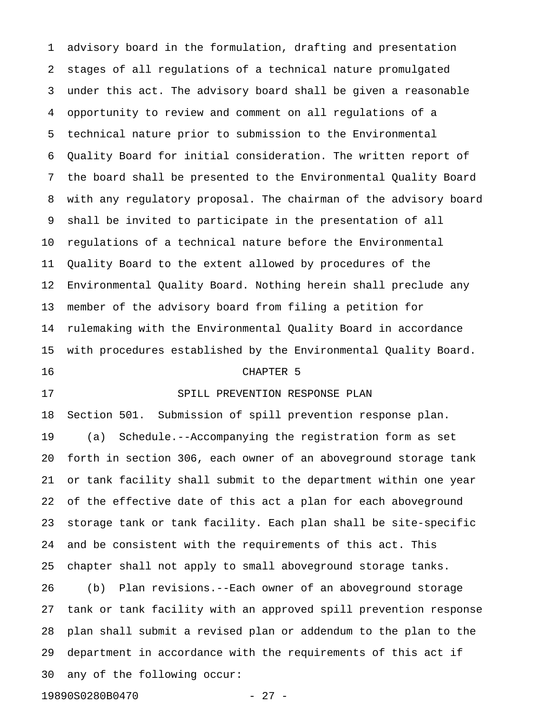1 advisory board in the formulation, drafting and presentation 2 stages of all regulations of a technical nature promulgated 3 under this act. The advisory board shall be given a reasonable 4 opportunity to review and comment on all regulations of a 5 technical nature prior to submission to the Environmental 6 Quality Board for initial consideration. The written report of 7 the board shall be presented to the Environmental Quality Board 8 with any regulatory proposal. The chairman of the advisory board 9 shall be invited to participate in the presentation of all 10 regulations of a technical nature before the Environmental 11 Quality Board to the extent allowed by procedures of the 12 Environmental Quality Board. Nothing herein shall preclude any 13 member of the advisory board from filing a petition for 14 rulemaking with the Environmental Quality Board in accordance 15 with procedures established by the Environmental Quality Board. 16 CHAPTER 5

#### 17 SPILL PREVENTION RESPONSE PLAN

18 Section 501. Submission of spill prevention response plan. 19 (a) Schedule.--Accompanying the registration form as set 20 forth in section 306, each owner of an aboveground storage tank 21 or tank facility shall submit to the department within one year 22 of the effective date of this act a plan for each aboveground 23 storage tank or tank facility. Each plan shall be site-specific 24 and be consistent with the requirements of this act. This 25 chapter shall not apply to small aboveground storage tanks. 26 (b) Plan revisions.--Each owner of an aboveground storage 27 tank or tank facility with an approved spill prevention response 28 plan shall submit a revised plan or addendum to the plan to the 29 department in accordance with the requirements of this act if 30 any of the following occur: 19890S0280B0470 - 27 -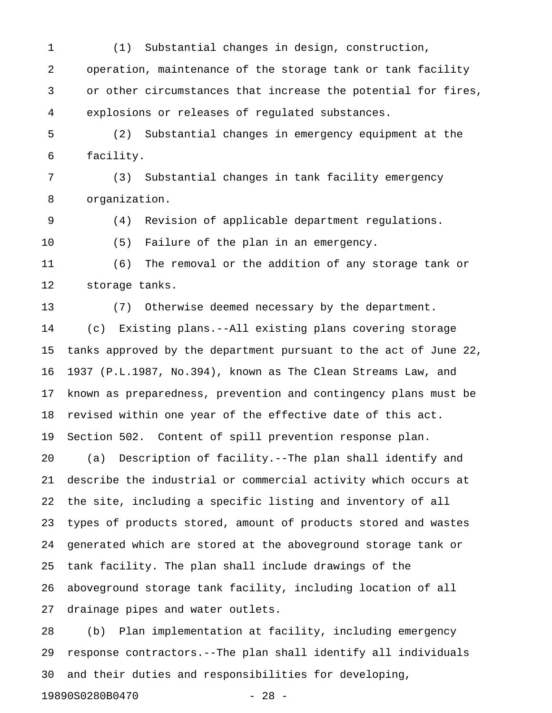1 (1) Substantial changes in design, construction, 2 operation, maintenance of the storage tank or tank facility 3 or other circumstances that increase the potential for fires, 4 explosions or releases of regulated substances.

5 (2) Substantial changes in emergency equipment at the 6 facility.

7 (3) Substantial changes in tank facility emergency 8 organization.

9 (4) Revision of applicable department regulations.

10 (5) Failure of the plan in an emergency.

11 (6) The removal or the addition of any storage tank or 12 storage tanks.

13 (7) Otherwise deemed necessary by the department. 14 (c) Existing plans.--All existing plans covering storage 15 tanks approved by the department pursuant to the act of June 22, 16 1937 (P.L.1987, No.394), known as The Clean Streams Law, and 17 known as preparedness, prevention and contingency plans must be 18 revised within one year of the effective date of this act. 19 Section 502. Content of spill prevention response plan. 20 (a) Description of facility.--The plan shall identify and 21 describe the industrial or commercial activity which occurs at 22 the site, including a specific listing and inventory of all 23 types of products stored, amount of products stored and wastes 24 generated which are stored at the aboveground storage tank or 25 tank facility. The plan shall include drawings of the 26 aboveground storage tank facility, including location of all 27 drainage pipes and water outlets.

28 (b) Plan implementation at facility, including emergency 29 response contractors.--The plan shall identify all individuals 30 and their duties and responsibilities for developing,

19890S0280B0470 - 28 -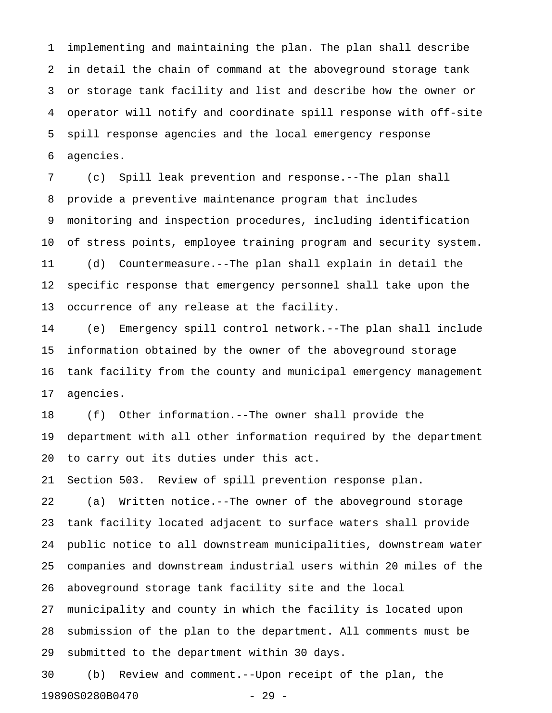1 implementing and maintaining the plan. The plan shall describe 2 in detail the chain of command at the aboveground storage tank 3 or storage tank facility and list and describe how the owner or 4 operator will notify and coordinate spill response with off-site 5 spill response agencies and the local emergency response 6 agencies.

7 (c) Spill leak prevention and response.--The plan shall 8 provide a preventive maintenance program that includes 9 monitoring and inspection procedures, including identification 10 of stress points, employee training program and security system. 11 (d) Countermeasure.--The plan shall explain in detail the 12 specific response that emergency personnel shall take upon the 13 occurrence of any release at the facility.

14 (e) Emergency spill control network.--The plan shall include 15 information obtained by the owner of the aboveground storage 16 tank facility from the county and municipal emergency management 17 agencies.

18 (f) Other information.--The owner shall provide the 19 department with all other information required by the department 20 to carry out its duties under this act.

21 Section 503. Review of spill prevention response plan.

22 (a) Written notice.--The owner of the aboveground storage 23 tank facility located adjacent to surface waters shall provide 24 public notice to all downstream municipalities, downstream water 25 companies and downstream industrial users within 20 miles of the 26 aboveground storage tank facility site and the local

27 municipality and county in which the facility is located upon 28 submission of the plan to the department. All comments must be 29 submitted to the department within 30 days.

30 (b) Review and comment.--Upon receipt of the plan, the 19890S0280B0470 - 29 -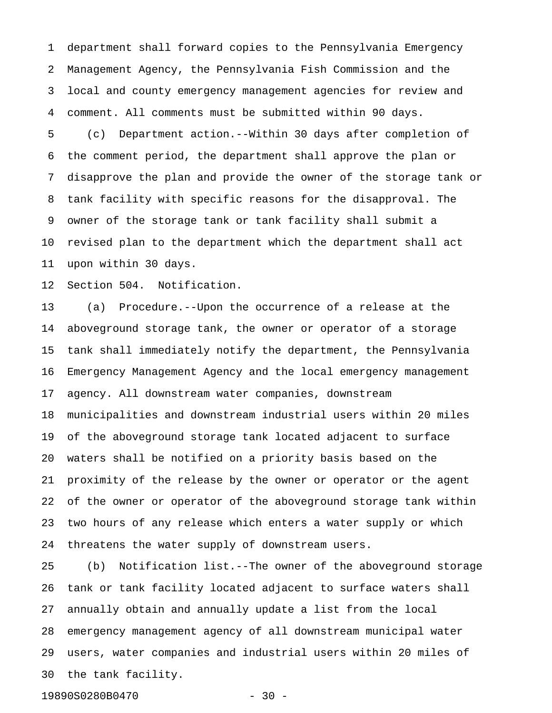1 department shall forward copies to the Pennsylvania Emergency 2 Management Agency, the Pennsylvania Fish Commission and the 3 local and county emergency management agencies for review and 4 comment. All comments must be submitted within 90 days.

5 (c) Department action.--Within 30 days after completion of 6 the comment period, the department shall approve the plan or 7 disapprove the plan and provide the owner of the storage tank or 8 tank facility with specific reasons for the disapproval. The 9 owner of the storage tank or tank facility shall submit a 10 revised plan to the department which the department shall act 11 upon within 30 days.

12 Section 504. Notification.

13 (a) Procedure.--Upon the occurrence of a release at the 14 aboveground storage tank, the owner or operator of a storage 15 tank shall immediately notify the department, the Pennsylvania 16 Emergency Management Agency and the local emergency management 17 agency. All downstream water companies, downstream 18 municipalities and downstream industrial users within 20 miles 19 of the aboveground storage tank located adjacent to surface 20 waters shall be notified on a priority basis based on the 21 proximity of the release by the owner or operator or the agent 22 of the owner or operator of the aboveground storage tank within 23 two hours of any release which enters a water supply or which 24 threatens the water supply of downstream users.

25 (b) Notification list.--The owner of the aboveground storage 26 tank or tank facility located adjacent to surface waters shall 27 annually obtain and annually update a list from the local 28 emergency management agency of all downstream municipal water 29 users, water companies and industrial users within 20 miles of 30 the tank facility.

19890S0280B0470 - 30 -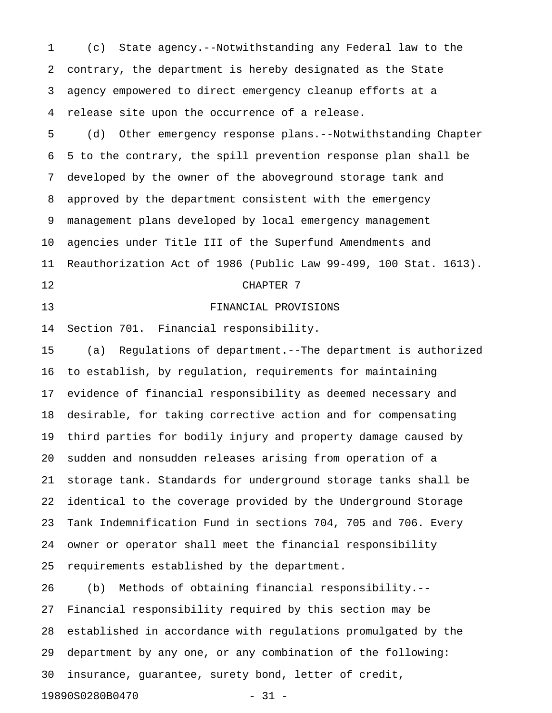1 (c) State agency.--Notwithstanding any Federal law to the 2 contrary, the department is hereby designated as the State 3 agency empowered to direct emergency cleanup efforts at a 4 release site upon the occurrence of a release.

5 (d) Other emergency response plans.--Notwithstanding Chapter 6 5 to the contrary, the spill prevention response plan shall be 7 developed by the owner of the aboveground storage tank and 8 approved by the department consistent with the emergency 9 management plans developed by local emergency management 10 agencies under Title III of the Superfund Amendments and 11 Reauthorization Act of 1986 (Public Law 99-499, 100 Stat. 1613). 12 CHAPTER 7

#### 13 FINANCIAL PROVISIONS

14 Section 701. Financial responsibility.

15 (a) Regulations of department.--The department is authorized 16 to establish, by regulation, requirements for maintaining 17 evidence of financial responsibility as deemed necessary and 18 desirable, for taking corrective action and for compensating 19 third parties for bodily injury and property damage caused by 20 sudden and nonsudden releases arising from operation of a 21 storage tank. Standards for underground storage tanks shall be 22 identical to the coverage provided by the Underground Storage 23 Tank Indemnification Fund in sections 704, 705 and 706. Every 24 owner or operator shall meet the financial responsibility 25 requirements established by the department.

26 (b) Methods of obtaining financial responsibility.-- 27 Financial responsibility required by this section may be 28 established in accordance with regulations promulgated by the 29 department by any one, or any combination of the following: 30 insurance, guarantee, surety bond, letter of credit, 19890S0280B0470 - 31 -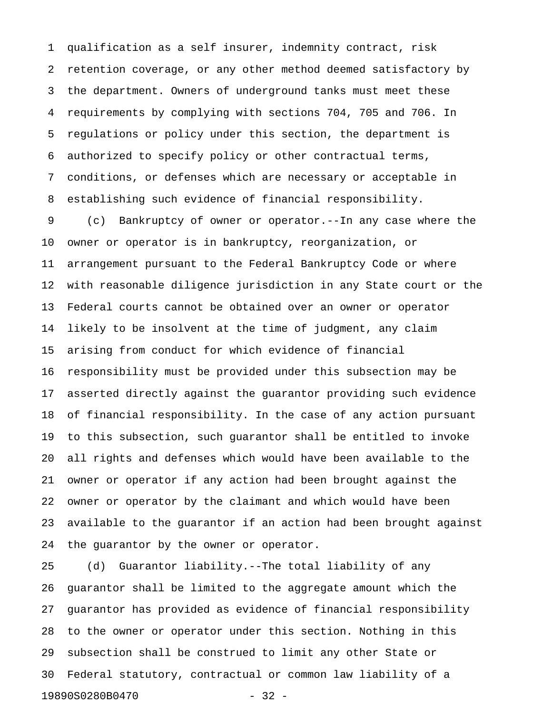1 qualification as a self insurer, indemnity contract, risk 2 retention coverage, or any other method deemed satisfactory by 3 the department. Owners of underground tanks must meet these 4 requirements by complying with sections 704, 705 and 706. In 5 regulations or policy under this section, the department is 6 authorized to specify policy or other contractual terms, 7 conditions, or defenses which are necessary or acceptable in 8 establishing such evidence of financial responsibility.

9 (c) Bankruptcy of owner or operator.--In any case where the 10 owner or operator is in bankruptcy, reorganization, or 11 arrangement pursuant to the Federal Bankruptcy Code or where 12 with reasonable diligence jurisdiction in any State court or the 13 Federal courts cannot be obtained over an owner or operator 14 likely to be insolvent at the time of judgment, any claim 15 arising from conduct for which evidence of financial 16 responsibility must be provided under this subsection may be 17 asserted directly against the guarantor providing such evidence 18 of financial responsibility. In the case of any action pursuant 19 to this subsection, such guarantor shall be entitled to invoke 20 all rights and defenses which would have been available to the 21 owner or operator if any action had been brought against the 22 owner or operator by the claimant and which would have been 23 available to the guarantor if an action had been brought against 24 the guarantor by the owner or operator.

25 (d) Guarantor liability.--The total liability of any 26 guarantor shall be limited to the aggregate amount which the 27 guarantor has provided as evidence of financial responsibility 28 to the owner or operator under this section. Nothing in this 29 subsection shall be construed to limit any other State or 30 Federal statutory, contractual or common law liability of a 19890S0280B0470 - 32 -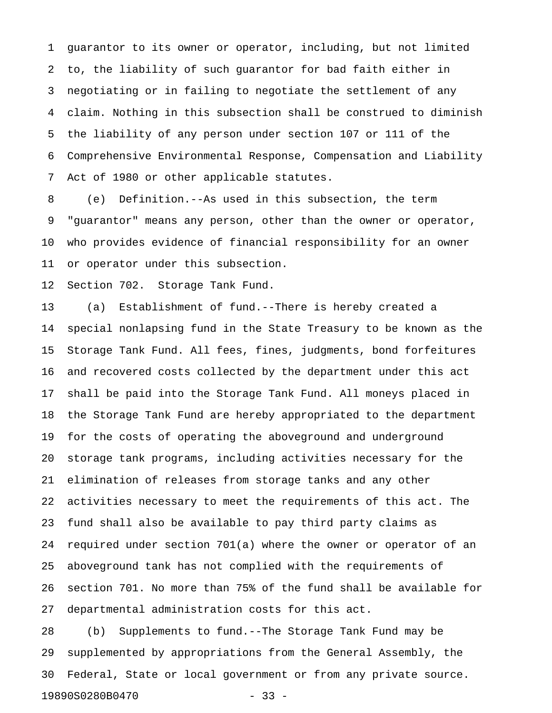1 guarantor to its owner or operator, including, but not limited 2 to, the liability of such guarantor for bad faith either in 3 negotiating or in failing to negotiate the settlement of any 4 claim. Nothing in this subsection shall be construed to diminish 5 the liability of any person under section 107 or 111 of the 6 Comprehensive Environmental Response, Compensation and Liability 7 Act of 1980 or other applicable statutes.

8 (e) Definition.--As used in this subsection, the term 9 "guarantor" means any person, other than the owner or operator, 10 who provides evidence of financial responsibility for an owner 11 or operator under this subsection.

12 Section 702. Storage Tank Fund.

13 (a) Establishment of fund.--There is hereby created a 14 special nonlapsing fund in the State Treasury to be known as the 15 Storage Tank Fund. All fees, fines, judgments, bond forfeitures 16 and recovered costs collected by the department under this act 17 shall be paid into the Storage Tank Fund. All moneys placed in 18 the Storage Tank Fund are hereby appropriated to the department 19 for the costs of operating the aboveground and underground 20 storage tank programs, including activities necessary for the 21 elimination of releases from storage tanks and any other 22 activities necessary to meet the requirements of this act. The 23 fund shall also be available to pay third party claims as 24 required under section 701(a) where the owner or operator of an 25 aboveground tank has not complied with the requirements of 26 section 701. No more than 75% of the fund shall be available for 27 departmental administration costs for this act.

28 (b) Supplements to fund.--The Storage Tank Fund may be 29 supplemented by appropriations from the General Assembly, the 30 Federal, State or local government or from any private source. 19890S0280B0470 - 33 -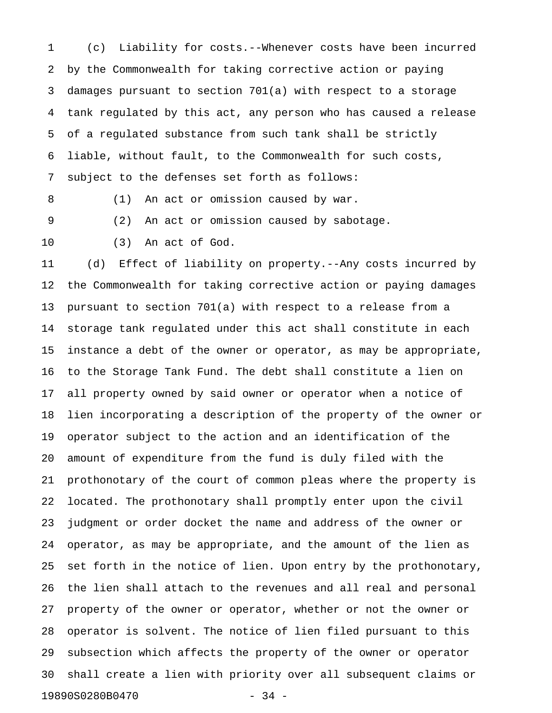1 (c) Liability for costs.--Whenever costs have been incurred 2 by the Commonwealth for taking corrective action or paying 3 damages pursuant to section 701(a) with respect to a storage 4 tank regulated by this act, any person who has caused a release 5 of a regulated substance from such tank shall be strictly 6 liable, without fault, to the Commonwealth for such costs, 7 subject to the defenses set forth as follows:

8 (1) An act or omission caused by war.

9 (2) An act or omission caused by sabotage.

10 (3) An act of God.

11 (d) Effect of liability on property.--Any costs incurred by 12 the Commonwealth for taking corrective action or paying damages 13 pursuant to section 701(a) with respect to a release from a 14 storage tank regulated under this act shall constitute in each 15 instance a debt of the owner or operator, as may be appropriate, 16 to the Storage Tank Fund. The debt shall constitute a lien on 17 all property owned by said owner or operator when a notice of 18 lien incorporating a description of the property of the owner or 19 operator subject to the action and an identification of the 20 amount of expenditure from the fund is duly filed with the 21 prothonotary of the court of common pleas where the property is 22 located. The prothonotary shall promptly enter upon the civil 23 judgment or order docket the name and address of the owner or 24 operator, as may be appropriate, and the amount of the lien as 25 set forth in the notice of lien. Upon entry by the prothonotary, 26 the lien shall attach to the revenues and all real and personal 27 property of the owner or operator, whether or not the owner or 28 operator is solvent. The notice of lien filed pursuant to this 29 subsection which affects the property of the owner or operator 30 shall create a lien with priority over all subsequent claims or 19890S0280B0470 - 34 -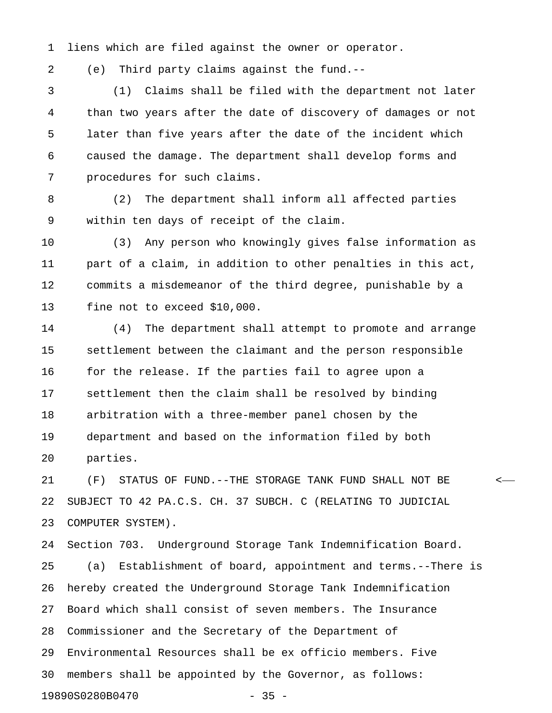1 liens which are filed against the owner or operator.

2 (e) Third party claims against the fund.--

3 (1) Claims shall be filed with the department not later 4 than two years after the date of discovery of damages or not 5 later than five years after the date of the incident which 6 caused the damage. The department shall develop forms and 7 procedures for such claims.

8 (2) The department shall inform all affected parties 9 within ten days of receipt of the claim.

10 (3) Any person who knowingly gives false information as 11 part of a claim, in addition to other penalties in this act, 12 commits a misdemeanor of the third degree, punishable by a 13 fine not to exceed \$10,000.

14 (4) The department shall attempt to promote and arrange 15 settlement between the claimant and the person responsible 16 for the release. If the parties fail to agree upon a 17 settlement then the claim shall be resolved by binding 18 arbitration with a three-member panel chosen by the 19 department and based on the information filed by both 20 parties.

21 (F) STATUS OF FUND.--THE STORAGE TANK FUND SHALL NOT BE < 22 SUBJECT TO 42 PA.C.S. CH. 37 SUBCH. C (RELATING TO JUDICIAL 23 COMPUTER SYSTEM).

24 Section 703. Underground Storage Tank Indemnification Board. 25 (a) Establishment of board, appointment and terms.--There is 26 hereby created the Underground Storage Tank Indemnification 27 Board which shall consist of seven members. The Insurance 28 Commissioner and the Secretary of the Department of 29 Environmental Resources shall be ex officio members. Five 30 members shall be appointed by the Governor, as follows: 19890S0280B0470 - 35 -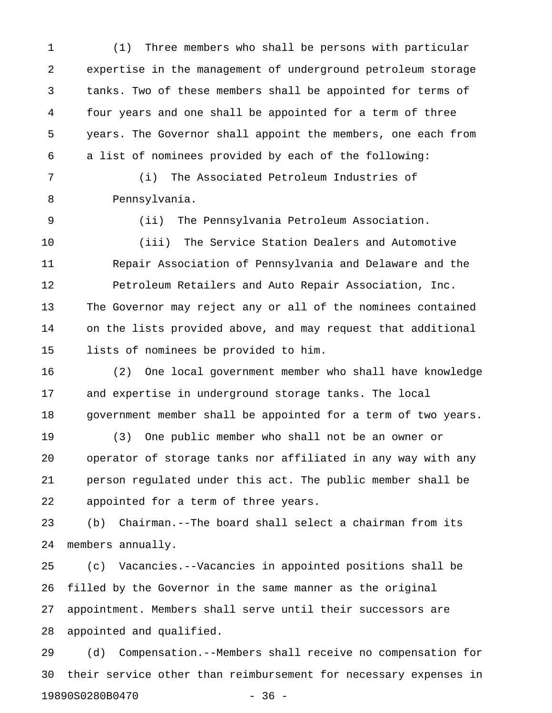1 (1) Three members who shall be persons with particular 2 expertise in the management of underground petroleum storage 3 tanks. Two of these members shall be appointed for terms of 4 four years and one shall be appointed for a term of three 5 years. The Governor shall appoint the members, one each from 6 a list of nominees provided by each of the following:

7 (i) The Associated Petroleum Industries of 8 Pennsylvania.

9 (ii) The Pennsylvania Petroleum Association.

10 (iii) The Service Station Dealers and Automotive 11 Repair Association of Pennsylvania and Delaware and the 12 Petroleum Retailers and Auto Repair Association, Inc. 13 The Governor may reject any or all of the nominees contained 14 on the lists provided above, and may request that additional 15 lists of nominees be provided to him.

16 (2) One local government member who shall have knowledge 17 and expertise in underground storage tanks. The local 18 government member shall be appointed for a term of two years.

19 (3) One public member who shall not be an owner or 20 operator of storage tanks nor affiliated in any way with any 21 person regulated under this act. The public member shall be 22 appointed for a term of three years.

23 (b) Chairman.--The board shall select a chairman from its 24 members annually.

25 (c) Vacancies.--Vacancies in appointed positions shall be 26 filled by the Governor in the same manner as the original 27 appointment. Members shall serve until their successors are 28 appointed and qualified.

29 (d) Compensation.--Members shall receive no compensation for 30 their service other than reimbursement for necessary expenses in 19890S0280B0470 - 36 -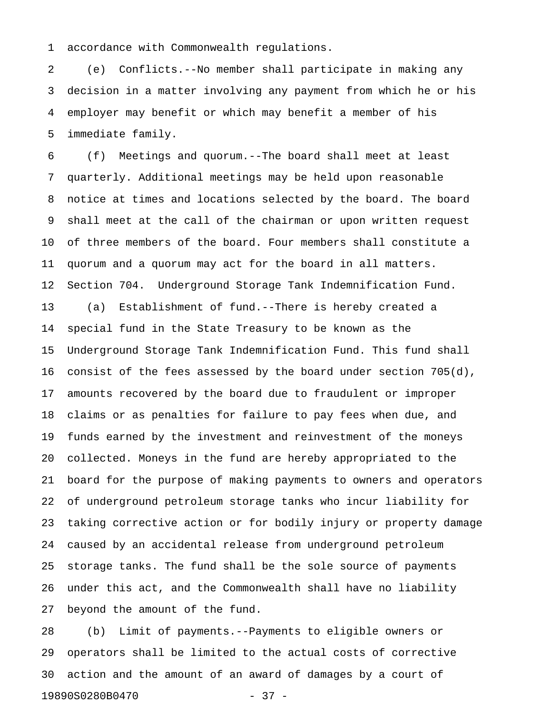1 accordance with Commonwealth regulations.

2 (e) Conflicts.--No member shall participate in making any 3 decision in a matter involving any payment from which he or his 4 employer may benefit or which may benefit a member of his 5 immediate family.

6 (f) Meetings and quorum.--The board shall meet at least 7 quarterly. Additional meetings may be held upon reasonable 8 notice at times and locations selected by the board. The board 9 shall meet at the call of the chairman or upon written request 10 of three members of the board. Four members shall constitute a 11 quorum and a quorum may act for the board in all matters. 12 Section 704. Underground Storage Tank Indemnification Fund. 13 (a) Establishment of fund.--There is hereby created a 14 special fund in the State Treasury to be known as the 15 Underground Storage Tank Indemnification Fund. This fund shall 16 consist of the fees assessed by the board under section 705(d), 17 amounts recovered by the board due to fraudulent or improper 18 claims or as penalties for failure to pay fees when due, and 19 funds earned by the investment and reinvestment of the moneys 20 collected. Moneys in the fund are hereby appropriated to the 21 board for the purpose of making payments to owners and operators 22 of underground petroleum storage tanks who incur liability for 23 taking corrective action or for bodily injury or property damage 24 caused by an accidental release from underground petroleum 25 storage tanks. The fund shall be the sole source of payments 26 under this act, and the Commonwealth shall have no liability 27 beyond the amount of the fund.

28 (b) Limit of payments.--Payments to eligible owners or 29 operators shall be limited to the actual costs of corrective 30 action and the amount of an award of damages by a court of 19890S0280B0470 - 37 -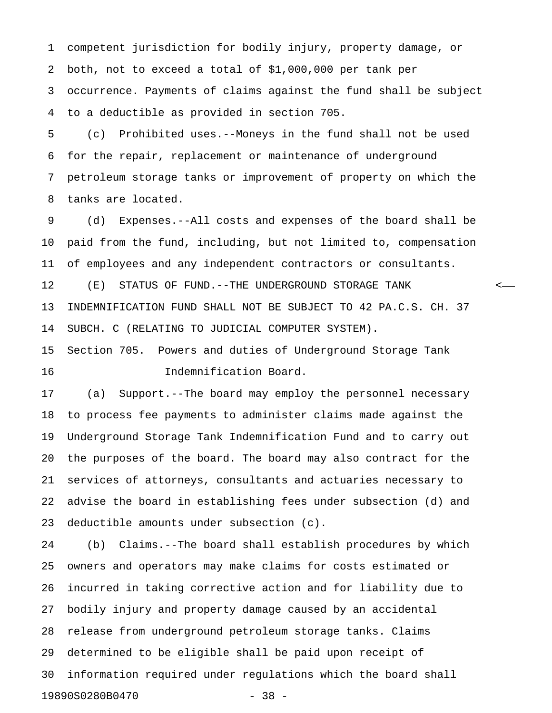1 competent jurisdiction for bodily injury, property damage, or 2 both, not to exceed a total of \$1,000,000 per tank per 3 occurrence. Payments of claims against the fund shall be subject 4 to a deductible as provided in section 705.

5 (c) Prohibited uses.--Moneys in the fund shall not be used 6 for the repair, replacement or maintenance of underground 7 petroleum storage tanks or improvement of property on which the 8 tanks are located.

9 (d) Expenses.--All costs and expenses of the board shall be 10 paid from the fund, including, but not limited to, compensation 11 of employees and any independent contractors or consultants. 12 (E) STATUS OF FUND.--THE UNDERGROUND STORAGE TANK < 13 INDEMNIFICATION FUND SHALL NOT BE SUBJECT TO 42 PA.C.S. CH. 37

14 SUBCH. C (RELATING TO JUDICIAL COMPUTER SYSTEM).

15 Section 705. Powers and duties of Underground Storage Tank 16 Indemnification Board.

17 (a) Support.--The board may employ the personnel necessary 18 to process fee payments to administer claims made against the 19 Underground Storage Tank Indemnification Fund and to carry out 20 the purposes of the board. The board may also contract for the 21 services of attorneys, consultants and actuaries necessary to 22 advise the board in establishing fees under subsection (d) and 23 deductible amounts under subsection (c).

24 (b) Claims.--The board shall establish procedures by which 25 owners and operators may make claims for costs estimated or 26 incurred in taking corrective action and for liability due to 27 bodily injury and property damage caused by an accidental 28 release from underground petroleum storage tanks. Claims 29 determined to be eligible shall be paid upon receipt of 30 information required under regulations which the board shall 19890S0280B0470 - 38 -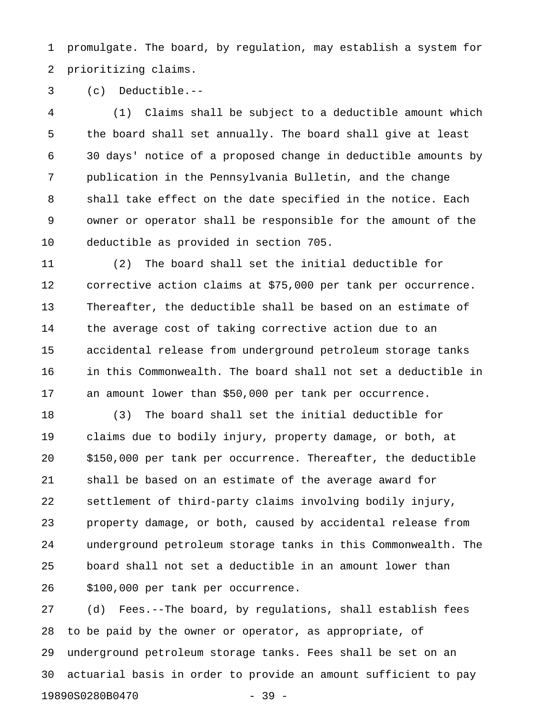1 promulgate. The board, by regulation, may establish a system for 2 prioritizing claims.

3 (c) Deductible.--

4 (1) Claims shall be subject to a deductible amount which 5 the board shall set annually. The board shall give at least 6 30 days' notice of a proposed change in deductible amounts by 7 publication in the Pennsylvania Bulletin, and the change 8 shall take effect on the date specified in the notice. Each 9 owner or operator shall be responsible for the amount of the 10 deductible as provided in section 705.

11 (2) The board shall set the initial deductible for 12 corrective action claims at \$75,000 per tank per occurrence. 13 Thereafter, the deductible shall be based on an estimate of 14 the average cost of taking corrective action due to an 15 accidental release from underground petroleum storage tanks 16 in this Commonwealth. The board shall not set a deductible in 17 an amount lower than \$50,000 per tank per occurrence.

18 (3) The board shall set the initial deductible for 19 claims due to bodily injury, property damage, or both, at 20 \$150,000 per tank per occurrence. Thereafter, the deductible 21 shall be based on an estimate of the average award for 22 settlement of third-party claims involving bodily injury, 23 property damage, or both, caused by accidental release from 24 underground petroleum storage tanks in this Commonwealth. The 25 board shall not set a deductible in an amount lower than 26 \$100,000 per tank per occurrence.

27 (d) Fees.--The board, by regulations, shall establish fees 28 to be paid by the owner or operator, as appropriate, of 29 underground petroleum storage tanks. Fees shall be set on an 30 actuarial basis in order to provide an amount sufficient to pay 19890S0280B0470 - 39 -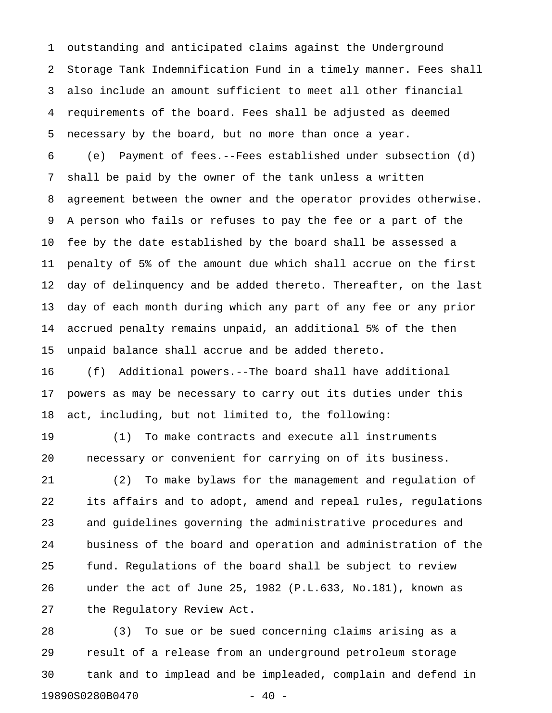1 outstanding and anticipated claims against the Underground 2 Storage Tank Indemnification Fund in a timely manner. Fees shall 3 also include an amount sufficient to meet all other financial 4 requirements of the board. Fees shall be adjusted as deemed 5 necessary by the board, but no more than once a year.

6 (e) Payment of fees.--Fees established under subsection (d) 7 shall be paid by the owner of the tank unless a written 8 agreement between the owner and the operator provides otherwise. 9 A person who fails or refuses to pay the fee or a part of the 10 fee by the date established by the board shall be assessed a 11 penalty of 5% of the amount due which shall accrue on the first 12 day of delinquency and be added thereto. Thereafter, on the last 13 day of each month during which any part of any fee or any prior 14 accrued penalty remains unpaid, an additional 5% of the then 15 unpaid balance shall accrue and be added thereto.

16 (f) Additional powers.--The board shall have additional 17 powers as may be necessary to carry out its duties under this 18 act, including, but not limited to, the following:

19 (1) To make contracts and execute all instruments 20 necessary or convenient for carrying on of its business.

21 (2) To make bylaws for the management and regulation of 22 its affairs and to adopt, amend and repeal rules, regulations 23 and guidelines governing the administrative procedures and 24 business of the board and operation and administration of the 25 fund. Regulations of the board shall be subject to review 26 under the act of June 25, 1982 (P.L.633, No.181), known as 27 the Regulatory Review Act.

28 (3) To sue or be sued concerning claims arising as a 29 result of a release from an underground petroleum storage 30 tank and to implead and be impleaded, complain and defend in 19890S0280B0470 - 40 -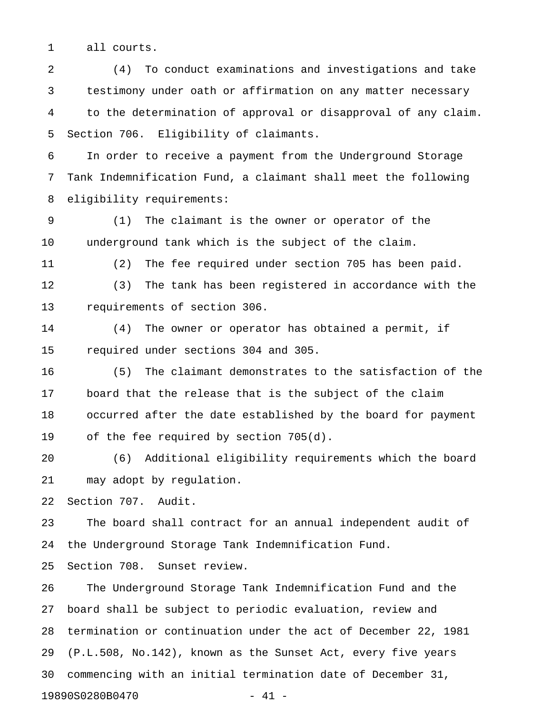1 all courts.

2 (4) To conduct examinations and investigations and take 3 testimony under oath or affirmation on any matter necessary 4 to the determination of approval or disapproval of any claim. 5 Section 706. Eligibility of claimants.

6 In order to receive a payment from the Underground Storage 7 Tank Indemnification Fund, a claimant shall meet the following 8 eligibility requirements:

9 (1) The claimant is the owner or operator of the 10 underground tank which is the subject of the claim.

11 (2) The fee required under section 705 has been paid.

12 (3) The tank has been registered in accordance with the 13 requirements of section 306.

14 (4) The owner or operator has obtained a permit, if 15 required under sections 304 and 305.

16 (5) The claimant demonstrates to the satisfaction of the 17 board that the release that is the subject of the claim 18 occurred after the date established by the board for payment 19 of the fee required by section 705(d).

20 (6) Additional eligibility requirements which the board 21 may adopt by regulation.

22 Section 707. Audit.

23 The board shall contract for an annual independent audit of 24 the Underground Storage Tank Indemnification Fund.

25 Section 708. Sunset review.

26 The Underground Storage Tank Indemnification Fund and the 27 board shall be subject to periodic evaluation, review and 28 termination or continuation under the act of December 22, 1981 29 (P.L.508, No.142), known as the Sunset Act, every five years 30 commencing with an initial termination date of December 31, 19890S0280B0470 - 41 -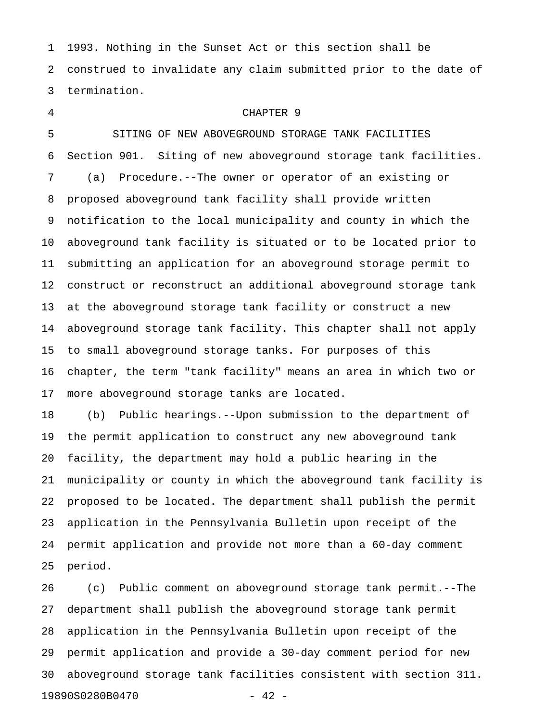1 1993. Nothing in the Sunset Act or this section shall be 2 construed to invalidate any claim submitted prior to the date of 3 termination.

# 4 CHAPTER 9

5 SITING OF NEW ABOVEGROUND STORAGE TANK FACILITIES 6 Section 901. Siting of new aboveground storage tank facilities. 7 (a) Procedure.--The owner or operator of an existing or 8 proposed aboveground tank facility shall provide written 9 notification to the local municipality and county in which the 10 aboveground tank facility is situated or to be located prior to 11 submitting an application for an aboveground storage permit to 12 construct or reconstruct an additional aboveground storage tank 13 at the aboveground storage tank facility or construct a new 14 aboveground storage tank facility. This chapter shall not apply 15 to small aboveground storage tanks. For purposes of this 16 chapter, the term "tank facility" means an area in which two or 17 more aboveground storage tanks are located.

18 (b) Public hearings.--Upon submission to the department of 19 the permit application to construct any new aboveground tank 20 facility, the department may hold a public hearing in the 21 municipality or county in which the aboveground tank facility is 22 proposed to be located. The department shall publish the permit 23 application in the Pennsylvania Bulletin upon receipt of the 24 permit application and provide not more than a 60-day comment 25 period.

26 (c) Public comment on aboveground storage tank permit.--The 27 department shall publish the aboveground storage tank permit 28 application in the Pennsylvania Bulletin upon receipt of the 29 permit application and provide a 30-day comment period for new 30 aboveground storage tank facilities consistent with section 311. 19890S0280B0470 - 42 -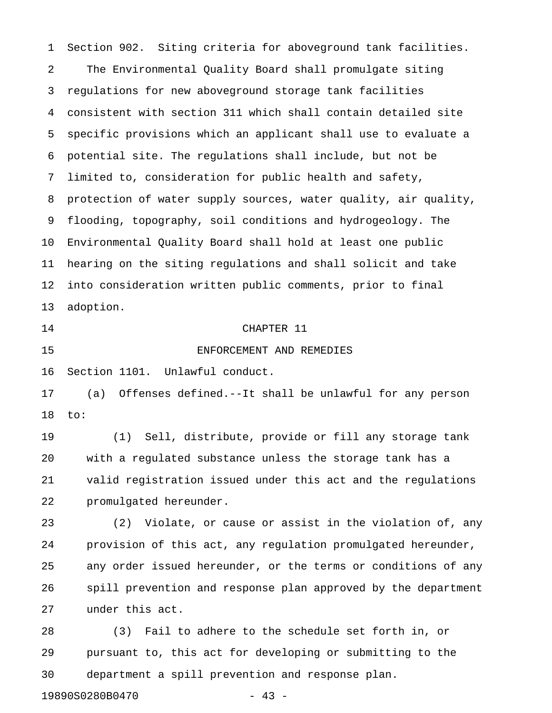1 Section 902. Siting criteria for aboveground tank facilities. 2 The Environmental Quality Board shall promulgate siting 3 regulations for new aboveground storage tank facilities 4 consistent with section 311 which shall contain detailed site 5 specific provisions which an applicant shall use to evaluate a 6 potential site. The regulations shall include, but not be 7 limited to, consideration for public health and safety, 8 protection of water supply sources, water quality, air quality, 9 flooding, topography, soil conditions and hydrogeology. The 10 Environmental Quality Board shall hold at least one public 11 hearing on the siting regulations and shall solicit and take 12 into consideration written public comments, prior to final 13 adoption. 14 CHAPTER 11 15 ENFORCEMENT AND REMEDIES 16 Section 1101. Unlawful conduct. 17 (a) Offenses defined.--It shall be unlawful for any person 18 to: 19 (1) Sell, distribute, provide or fill any storage tank 20 with a regulated substance unless the storage tank has a 21 valid registration issued under this act and the regulations 22 promulgated hereunder. 23 (2) Violate, or cause or assist in the violation of, any 24 provision of this act, any regulation promulgated hereunder, 25 any order issued hereunder, or the terms or conditions of any 26 spill prevention and response plan approved by the department 27 under this act. 28 (3) Fail to adhere to the schedule set forth in, or 29 pursuant to, this act for developing or submitting to the 30 department a spill prevention and response plan.

19890S0280B0470 - 43 -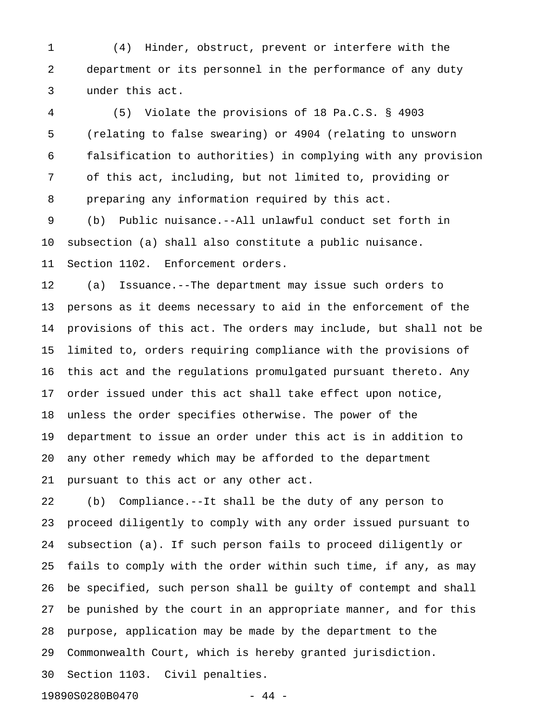1 (4) Hinder, obstruct, prevent or interfere with the 2 department or its personnel in the performance of any duty 3 under this act.

4 (5) Violate the provisions of 18 Pa.C.S. § 4903 5 (relating to false swearing) or 4904 (relating to unsworn 6 falsification to authorities) in complying with any provision 7 of this act, including, but not limited to, providing or 8 preparing any information required by this act.

9 (b) Public nuisance.--All unlawful conduct set forth in 10 subsection (a) shall also constitute a public nuisance. 11 Section 1102. Enforcement orders.

12 (a) Issuance.--The department may issue such orders to 13 persons as it deems necessary to aid in the enforcement of the 14 provisions of this act. The orders may include, but shall not be 15 limited to, orders requiring compliance with the provisions of 16 this act and the regulations promulgated pursuant thereto. Any 17 order issued under this act shall take effect upon notice, 18 unless the order specifies otherwise. The power of the 19 department to issue an order under this act is in addition to 20 any other remedy which may be afforded to the department 21 pursuant to this act or any other act.

22 (b) Compliance.--It shall be the duty of any person to 23 proceed diligently to comply with any order issued pursuant to 24 subsection (a). If such person fails to proceed diligently or 25 fails to comply with the order within such time, if any, as may 26 be specified, such person shall be guilty of contempt and shall 27 be punished by the court in an appropriate manner, and for this 28 purpose, application may be made by the department to the 29 Commonwealth Court, which is hereby granted jurisdiction. 30 Section 1103. Civil penalties.

19890S0280B0470 - 44 -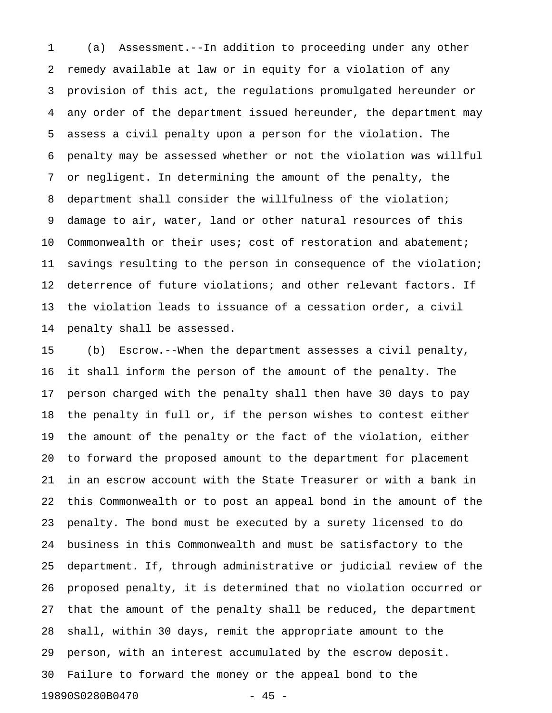1 (a) Assessment.--In addition to proceeding under any other 2 remedy available at law or in equity for a violation of any 3 provision of this act, the regulations promulgated hereunder or 4 any order of the department issued hereunder, the department may 5 assess a civil penalty upon a person for the violation. The 6 penalty may be assessed whether or not the violation was willful 7 or negligent. In determining the amount of the penalty, the 8 department shall consider the willfulness of the violation; 9 damage to air, water, land or other natural resources of this 10 Commonwealth or their uses; cost of restoration and abatement; 11 savings resulting to the person in consequence of the violation; 12 deterrence of future violations; and other relevant factors. If 13 the violation leads to issuance of a cessation order, a civil 14 penalty shall be assessed.

15 (b) Escrow.--When the department assesses a civil penalty, 16 it shall inform the person of the amount of the penalty. The 17 person charged with the penalty shall then have 30 days to pay 18 the penalty in full or, if the person wishes to contest either 19 the amount of the penalty or the fact of the violation, either 20 to forward the proposed amount to the department for placement 21 in an escrow account with the State Treasurer or with a bank in 22 this Commonwealth or to post an appeal bond in the amount of the 23 penalty. The bond must be executed by a surety licensed to do 24 business in this Commonwealth and must be satisfactory to the 25 department. If, through administrative or judicial review of the 26 proposed penalty, it is determined that no violation occurred or 27 that the amount of the penalty shall be reduced, the department 28 shall, within 30 days, remit the appropriate amount to the 29 person, with an interest accumulated by the escrow deposit. 30 Failure to forward the money or the appeal bond to the 19890S0280B0470 - 45 -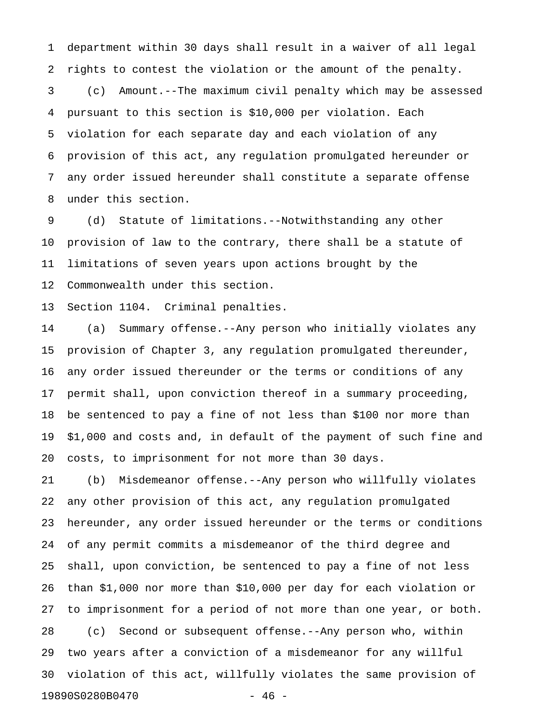1 department within 30 days shall result in a waiver of all legal 2 rights to contest the violation or the amount of the penalty. 3 (c) Amount.--The maximum civil penalty which may be assessed 4 pursuant to this section is \$10,000 per violation. Each 5 violation for each separate day and each violation of any 6 provision of this act, any regulation promulgated hereunder or 7 any order issued hereunder shall constitute a separate offense 8 under this section.

9 (d) Statute of limitations.--Notwithstanding any other 10 provision of law to the contrary, there shall be a statute of 11 limitations of seven years upon actions brought by the 12 Commonwealth under this section.

13 Section 1104. Criminal penalties.

14 (a) Summary offense.--Any person who initially violates any 15 provision of Chapter 3, any regulation promulgated thereunder, 16 any order issued thereunder or the terms or conditions of any 17 permit shall, upon conviction thereof in a summary proceeding, 18 be sentenced to pay a fine of not less than \$100 nor more than 19 \$1,000 and costs and, in default of the payment of such fine and 20 costs, to imprisonment for not more than 30 days.

21 (b) Misdemeanor offense.--Any person who willfully violates 22 any other provision of this act, any regulation promulgated 23 hereunder, any order issued hereunder or the terms or conditions 24 of any permit commits a misdemeanor of the third degree and 25 shall, upon conviction, be sentenced to pay a fine of not less 26 than \$1,000 nor more than \$10,000 per day for each violation or 27 to imprisonment for a period of not more than one year, or both. 28 (c) Second or subsequent offense.--Any person who, within 29 two years after a conviction of a misdemeanor for any willful 30 violation of this act, willfully violates the same provision of 19890S0280B0470 - 46 -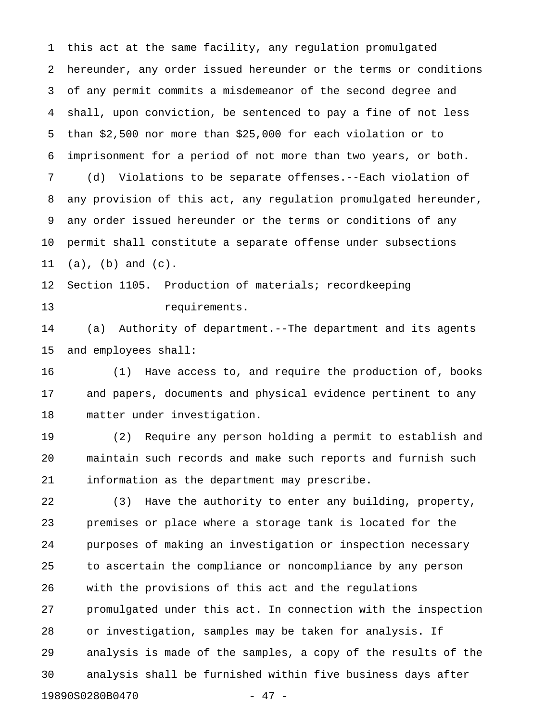1 this act at the same facility, any regulation promulgated 2 hereunder, any order issued hereunder or the terms or conditions 3 of any permit commits a misdemeanor of the second degree and 4 shall, upon conviction, be sentenced to pay a fine of not less 5 than \$2,500 nor more than \$25,000 for each violation or to 6 imprisonment for a period of not more than two years, or both. 7 (d) Violations to be separate offenses.--Each violation of 8 any provision of this act, any regulation promulgated hereunder, 9 any order issued hereunder or the terms or conditions of any 10 permit shall constitute a separate offense under subsections 11 (a), (b) and (c).

12 Section 1105. Production of materials; recordkeeping 13 requirements.

14 (a) Authority of department.--The department and its agents 15 and employees shall:

16 (1) Have access to, and require the production of, books 17 and papers, documents and physical evidence pertinent to any 18 matter under investigation.

19 (2) Require any person holding a permit to establish and 20 maintain such records and make such reports and furnish such 21 information as the department may prescribe.

22 (3) Have the authority to enter any building, property, 23 premises or place where a storage tank is located for the 24 purposes of making an investigation or inspection necessary 25 to ascertain the compliance or noncompliance by any person 26 with the provisions of this act and the regulations 27 promulgated under this act. In connection with the inspection 28 or investigation, samples may be taken for analysis. If 29 analysis is made of the samples, a copy of the results of the 30 analysis shall be furnished within five business days after 19890S0280B0470 - 47 -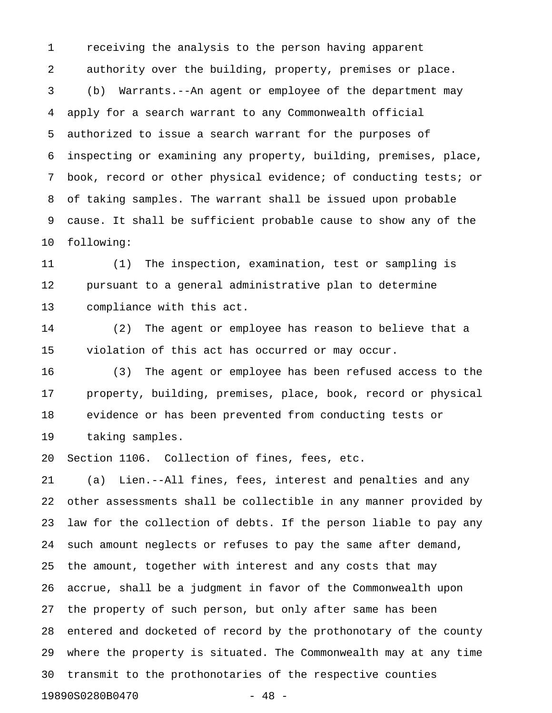1 receiving the analysis to the person having apparent 2 authority over the building, property, premises or place. 3 (b) Warrants.--An agent or employee of the department may 4 apply for a search warrant to any Commonwealth official 5 authorized to issue a search warrant for the purposes of 6 inspecting or examining any property, building, premises, place, 7 book, record or other physical evidence; of conducting tests; or 8 of taking samples. The warrant shall be issued upon probable 9 cause. It shall be sufficient probable cause to show any of the 10 following:

11 (1) The inspection, examination, test or sampling is 12 pursuant to a general administrative plan to determine 13 compliance with this act.

14 (2) The agent or employee has reason to believe that a 15 violation of this act has occurred or may occur.

16 (3) The agent or employee has been refused access to the 17 property, building, premises, place, book, record or physical 18 evidence or has been prevented from conducting tests or 19 taking samples.

20 Section 1106. Collection of fines, fees, etc.

21 (a) Lien.--All fines, fees, interest and penalties and any 22 other assessments shall be collectible in any manner provided by 23 law for the collection of debts. If the person liable to pay any 24 such amount neglects or refuses to pay the same after demand, 25 the amount, together with interest and any costs that may 26 accrue, shall be a judgment in favor of the Commonwealth upon 27 the property of such person, but only after same has been 28 entered and docketed of record by the prothonotary of the county 29 where the property is situated. The Commonwealth may at any time 30 transmit to the prothonotaries of the respective counties 19890S0280B0470 - 48 -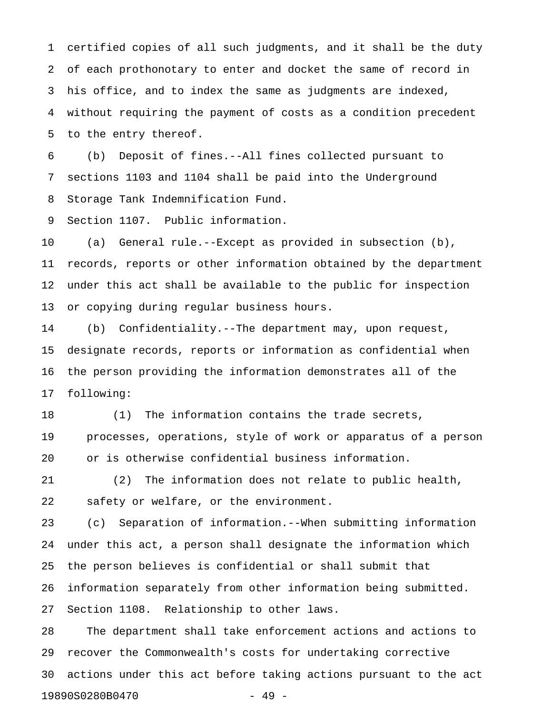1 certified copies of all such judgments, and it shall be the duty 2 of each prothonotary to enter and docket the same of record in 3 his office, and to index the same as judgments are indexed, 4 without requiring the payment of costs as a condition precedent 5 to the entry thereof.

6 (b) Deposit of fines.--All fines collected pursuant to 7 sections 1103 and 1104 shall be paid into the Underground 8 Storage Tank Indemnification Fund.

9 Section 1107. Public information.

10 (a) General rule.--Except as provided in subsection (b), 11 records, reports or other information obtained by the department 12 under this act shall be available to the public for inspection 13 or copying during regular business hours.

14 (b) Confidentiality.--The department may, upon request, 15 designate records, reports or information as confidential when 16 the person providing the information demonstrates all of the 17 following:

18 (1) The information contains the trade secrets, 19 processes, operations, style of work or apparatus of a person 20 or is otherwise confidential business information.

21 (2) The information does not relate to public health, 22 safety or welfare, or the environment.

23 (c) Separation of information.--When submitting information 24 under this act, a person shall designate the information which 25 the person believes is confidential or shall submit that 26 information separately from other information being submitted. 27 Section 1108. Relationship to other laws.

28 The department shall take enforcement actions and actions to 29 recover the Commonwealth's costs for undertaking corrective 30 actions under this act before taking actions pursuant to the act 19890S0280B0470 - 49 -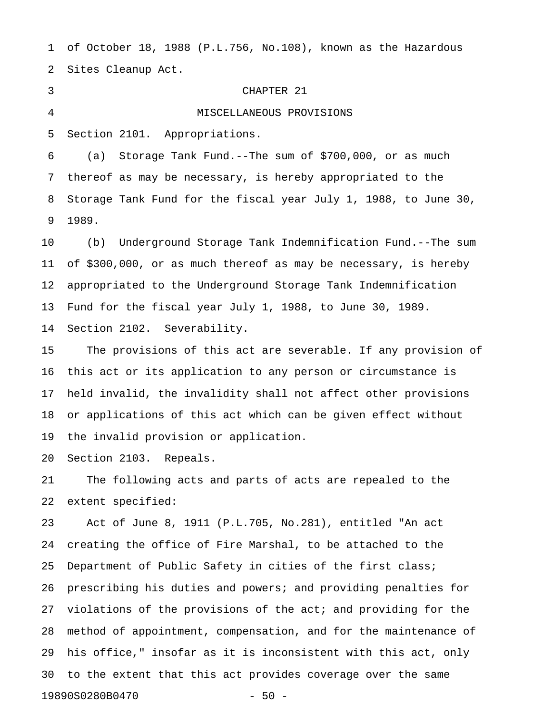1 of October 18, 1988 (P.L.756, No.108), known as the Hazardous 2 Sites Cleanup Act.

## 3 CHAPTER 21

4 MISCELLANEOUS PROVISIONS

5 Section 2101. Appropriations.

6 (a) Storage Tank Fund.--The sum of \$700,000, or as much 7 thereof as may be necessary, is hereby appropriated to the 8 Storage Tank Fund for the fiscal year July 1, 1988, to June 30, 9 1989.

10 (b) Underground Storage Tank Indemnification Fund.--The sum 11 of \$300,000, or as much thereof as may be necessary, is hereby 12 appropriated to the Underground Storage Tank Indemnification 13 Fund for the fiscal year July 1, 1988, to June 30, 1989. 14 Section 2102. Severability.

15 The provisions of this act are severable. If any provision of 16 this act or its application to any person or circumstance is 17 held invalid, the invalidity shall not affect other provisions 18 or applications of this act which can be given effect without 19 the invalid provision or application.

20 Section 2103. Repeals.

21 The following acts and parts of acts are repealed to the 22 extent specified:

23 Act of June 8, 1911 (P.L.705, No.281), entitled "An act 24 creating the office of Fire Marshal, to be attached to the 25 Department of Public Safety in cities of the first class; 26 prescribing his duties and powers; and providing penalties for 27 violations of the provisions of the act; and providing for the 28 method of appointment, compensation, and for the maintenance of 29 his office," insofar as it is inconsistent with this act, only 30 to the extent that this act provides coverage over the same 19890S0280B0470 - 50 -